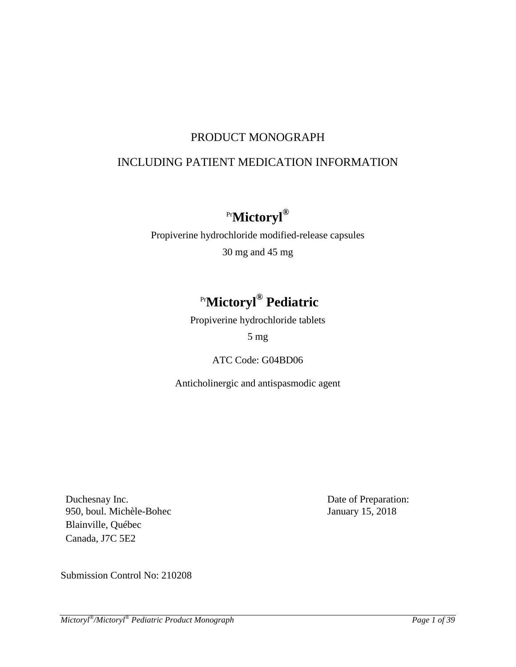# PRODUCT MONOGRAPH

# INCLUDING PATIENT MEDICATION INFORMATION

# Pr**Mictoryl®**

Propiverine hydrochloride modified-release capsules 30 mg and 45 mg

# Pr**Mictoryl ® Pediatric**

Propiverine hydrochloride tablets

# 5 mg

# ATC Code: G04BD06

Anticholinergic and antispasmodic agent

Duchesnay Inc. 950, boul. Michèle-Bohec Blainville, Québec Canada, J7C 5E2

Date of Preparation: January 15, 2018

Submission Control No: 210208

*Mictoryl ®/Mictoryl® Pediatric Product Monograph Page 1 of 39*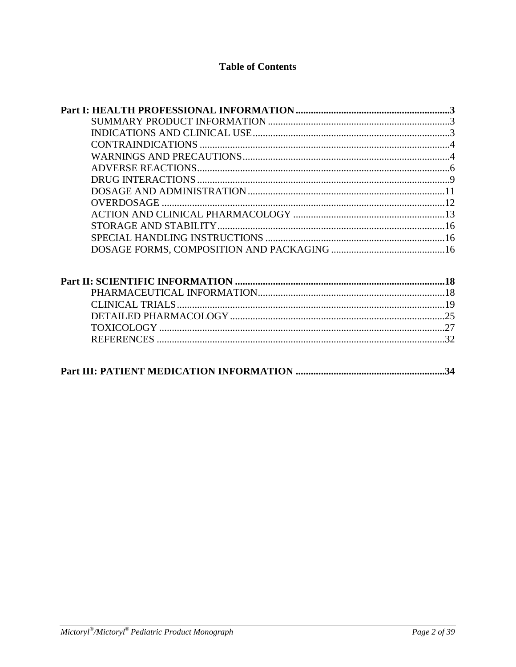# **Table of Contents**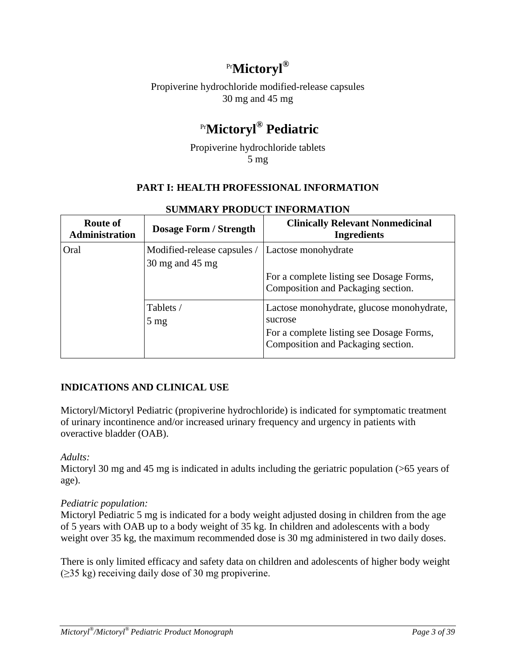# Pr**Mictoryl®**

Propiverine hydrochloride modified-release capsules 30 mg and 45 mg

# Pr**Mictoryl® Pediatric**

Propiverine hydrochloride tablets 5 mg

# **PART I: HEALTH PROFESSIONAL INFORMATION**

<span id="page-2-1"></span><span id="page-2-0"></span>

| <b>Route of</b><br><b>Administration</b> | <b>Dosage Form / Strength</b>                  | <b>Clinically Relevant Nonmedicinal</b><br><b>Ingredients</b>                                                                          |
|------------------------------------------|------------------------------------------------|----------------------------------------------------------------------------------------------------------------------------------------|
| Oral                                     | Modified-release capsules /<br>30 mg and 45 mg | Lactose monohydrate                                                                                                                    |
|                                          |                                                | For a complete listing see Dosage Forms,<br>Composition and Packaging section.                                                         |
|                                          | Tablets /<br>$5 \text{ mg}$                    | Lactose monohydrate, glucose monohydrate,<br>sucrose<br>For a complete listing see Dosage Forms,<br>Composition and Packaging section. |

### **SUMMARY PRODUCT INFORMATION**

# <span id="page-2-2"></span>**INDICATIONS AND CLINICAL USE**

Mictoryl/Mictoryl Pediatric (propiverine hydrochloride) is indicated for symptomatic treatment of urinary incontinence and/or increased urinary frequency and urgency in patients with overactive bladder (OAB).

# *Adults:*

Mictoryl 30 mg and 45 mg is indicated in adults including the geriatric population (>65 years of age).

# *Pediatric population:*

Mictoryl Pediatric 5 mg is indicated for a body weight adjusted dosing in children from the age of 5 years with OAB up to a body weight of 35 kg. In children and adolescents with a body weight over 35 kg, the maximum recommended dose is 30 mg administered in two daily doses.

There is only limited efficacy and safety data on children and adolescents of higher body weight (≥35 kg) receiving daily dose of 30 mg propiverine.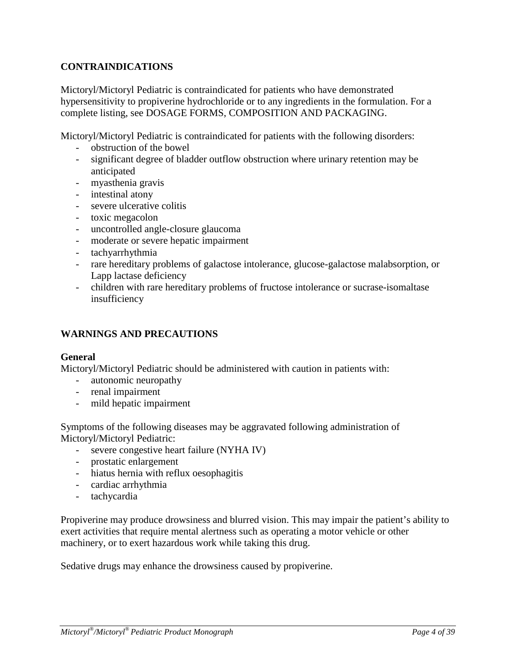# <span id="page-3-0"></span>**CONTRAINDICATIONS**

Mictoryl/Mictoryl Pediatric is contraindicated for patients who have demonstrated hypersensitivity to propiverine hydrochloride or to any ingredients in the formulation. For a complete listing, see DOSAGE FORMS, COMPOSITION AND PACKAGING.

Mictoryl/Mictoryl Pediatric is contraindicated for patients with the following disorders:

- obstruction of the bowel
- significant degree of bladder outflow obstruction where urinary retention may be anticipated
- myasthenia gravis
- intestinal atony
- severe ulcerative colitis
- toxic megacolon
- uncontrolled angle-closure glaucoma
- moderate or severe hepatic impairment
- tachyarrhythmia
- rare hereditary problems of galactose intolerance, glucose-galactose malabsorption, or Lapp lactase deficiency
- children with rare hereditary problems of fructose intolerance or sucrase-isomaltase insufficiency

# <span id="page-3-1"></span>**WARNINGS AND PRECAUTIONS**

### **General**

Mictoryl/Mictoryl Pediatric should be administered with caution in patients with:

- autonomic neuropathy
- renal impairment
- mild hepatic impairment

Symptoms of the following diseases may be aggravated following administration of Mictoryl/Mictoryl Pediatric:

- severe congestive heart failure (NYHA IV)
- prostatic enlargement
- hiatus hernia with reflux oesophagitis
- cardiac arrhythmia
- tachycardia

Propiverine may produce drowsiness and blurred vision. This may impair the patient's ability to exert activities that require mental alertness such as operating a motor vehicle or other machinery, or to exert hazardous work while taking this drug.

Sedative drugs may enhance the drowsiness caused by propiverine.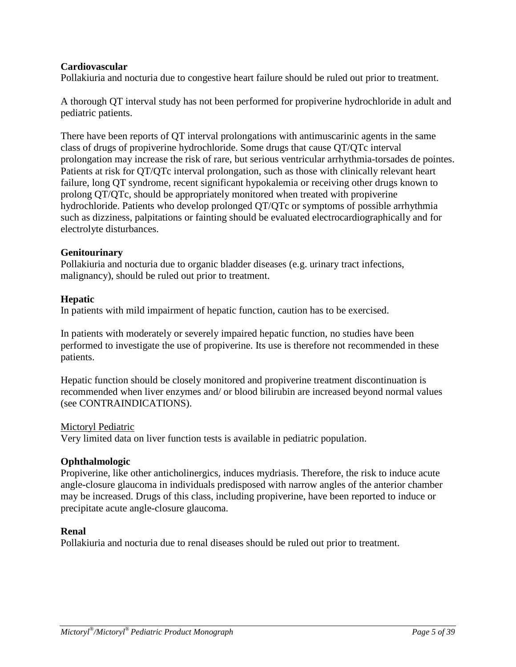### **Cardiovascular**

Pollakiuria and nocturia due to congestive heart failure should be ruled out prior to treatment.

A thorough QT interval study has not been performed for propiverine hydrochloride in adult and pediatric patients.

There have been reports of QT interval prolongations with antimuscarinic agents in the same class of drugs of propiverine hydrochloride. Some drugs that cause QT/QTc interval prolongation may increase the risk of rare, but serious ventricular arrhythmia-torsades de pointes. Patients at risk for QT/QTc interval prolongation, such as those with clinically relevant heart failure, long QT syndrome, recent significant hypokalemia or receiving other drugs known to prolong QT/QTc, should be appropriately monitored when treated with propiverine hydrochloride. Patients who develop prolonged QT/QTc or symptoms of possible arrhythmia such as dizziness, palpitations or fainting should be evaluated electrocardiographically and for electrolyte disturbances.

### **Genitourinary**

Pollakiuria and nocturia due to organic bladder diseases (e.g. urinary tract infections, malignancy), should be ruled out prior to treatment.

# **Hepatic**

In patients with mild impairment of hepatic function, caution has to be exercised.

In patients with moderately or severely impaired hepatic function, no studies have been performed to investigate the use of propiverine. Its use is therefore not recommended in these patients.

Hepatic function should be closely monitored and propiverine treatment discontinuation is recommended when liver enzymes and/ or blood bilirubin are increased beyond normal values (see CONTRAINDICATIONS).

### Mictoryl Pediatric

Very limited data on liver function tests is available in pediatric population.

### **Ophthalmologic**

Propiverine, like other anticholinergics, induces mydriasis. Therefore, the risk to induce acute angle-closure glaucoma in individuals predisposed with narrow angles of the anterior chamber may be increased. Drugs of this class, including propiverine, have been reported to induce or precipitate acute angle-closure glaucoma.

### **Renal**

Pollakiuria and nocturia due to renal diseases should be ruled out prior to treatment.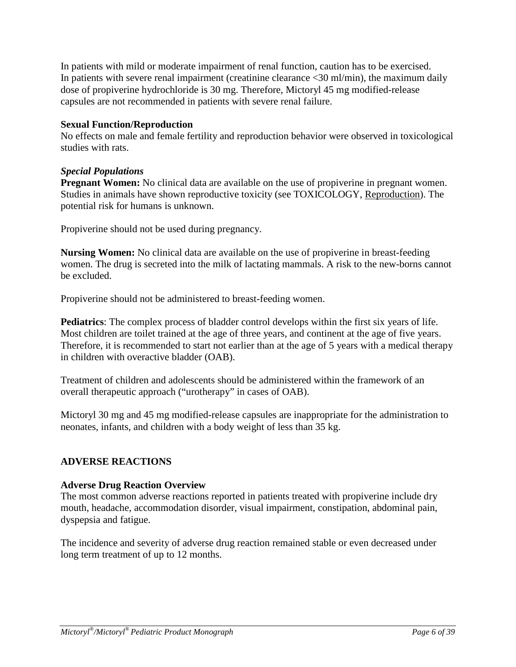In patients with mild or moderate impairment of renal function, caution has to be exercised. In patients with severe renal impairment (creatinine clearance  $\langle 30 \text{ ml/min} \rangle$ , the maximum daily dose of propiverine hydrochloride is 30 mg. Therefore, Mictoryl 45 mg modified-release capsules are not recommended in patients with severe renal failure.

### **Sexual Function/Reproduction**

No effects on male and female fertility and reproduction behavior were observed in toxicological studies with rats.

### *Special Populations*

**Pregnant Women:** No clinical data are available on the use of propiverine in pregnant women. Studies in animals have shown reproductive toxicity (see TOXICOLOGY, Reproduction). The potential risk for humans is unknown.

Propiverine should not be used during pregnancy.

**Nursing Women:** No clinical data are available on the use of propiverine in breast-feeding women. The drug is secreted into the milk of lactating mammals. A risk to the new-borns cannot be excluded.

Propiverine should not be administered to breast-feeding women.

**Pediatrics**: The complex process of bladder control develops within the first six years of life. Most children are toilet trained at the age of three years, and continent at the age of five years. Therefore, it is recommended to start not earlier than at the age of 5 years with a medical therapy in children with overactive bladder (OAB).

Treatment of children and adolescents should be administered within the framework of an overall therapeutic approach ("urotherapy" in cases of OAB).

Mictoryl 30 mg and 45 mg modified-release capsules are inappropriate for the administration to neonates, infants, and children with a body weight of less than 35 kg.

### <span id="page-5-0"></span>**ADVERSE REACTIONS**

### **Adverse Drug Reaction Overview**

The most common adverse reactions reported in patients treated with propiverine include dry mouth, headache, accommodation disorder, visual impairment, constipation, abdominal pain, dyspepsia and fatigue.

The incidence and severity of adverse drug reaction remained stable or even decreased under long term treatment of up to 12 months.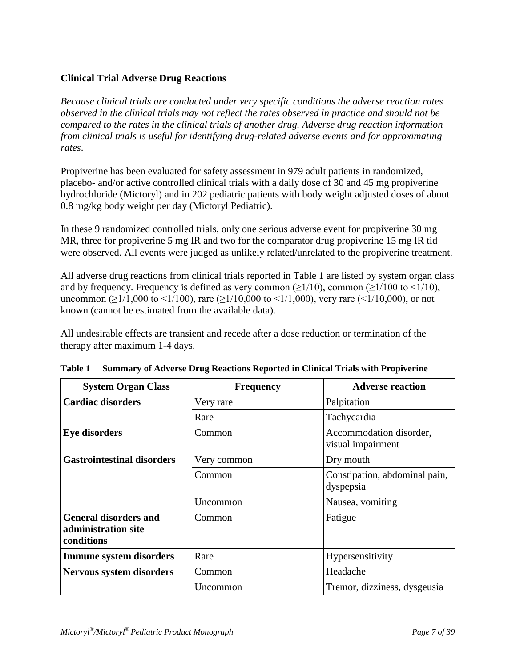# **Clinical Trial Adverse Drug Reactions**

*Because clinical trials are conducted under very specific conditions the adverse reaction rates observed in the clinical trials may not reflect the rates observed in practice and should not be compared to the rates in the clinical trials of another drug. Adverse drug reaction information from clinical trials is useful for identifying drug-related adverse events and for approximating rates*.

Propiverine has been evaluated for safety assessment in 979 adult patients in randomized, placebo- and/or active controlled clinical trials with a daily dose of 30 and 45 mg propiverine hydrochloride (Mictoryl) and in 202 pediatric patients with body weight adjusted doses of about 0.8 mg/kg body weight per day (Mictoryl Pediatric).

In these 9 randomized controlled trials, only one serious adverse event for propiverine 30 mg MR, three for propiverine 5 mg IR and two for the comparator drug propiverine 15 mg IR tid were observed. All events were judged as unlikely related/unrelated to the propiverine treatment.

All adverse drug reactions from clinical trials reported in Table 1 are listed by system organ class and by frequency. Frequency is defined as very common ( $\geq 1/10$ ), common ( $\geq 1/100$  to  $\leq 1/10$ ), uncommon ( $\geq$ 1/1,000 to <1/100), rare ( $\geq$ 1/10,000 to <1/1,000), very rare (<1/10,000), or not known (cannot be estimated from the available data).

All undesirable effects are transient and recede after a dose reduction or termination of the therapy after maximum 1-4 days.

| <b>System Organ Class</b>                                         | <b>Frequency</b> | <b>Adverse reaction</b>                      |
|-------------------------------------------------------------------|------------------|----------------------------------------------|
| <b>Cardiac disorders</b>                                          | Very rare        | Palpitation                                  |
|                                                                   | Rare             | Tachycardia                                  |
| <b>Eye disorders</b>                                              | Common           | Accommodation disorder,<br>visual impairment |
| <b>Gastrointestinal disorders</b>                                 | Very common      | Dry mouth                                    |
|                                                                   | Common           | Constipation, abdominal pain,<br>dyspepsia   |
|                                                                   | Uncommon         | Nausea, vomiting                             |
| <b>General disorders and</b><br>administration site<br>conditions | Common           | Fatigue                                      |
| <b>Immune system disorders</b>                                    | Rare             | Hypersensitivity                             |
| Nervous system disorders                                          | Common           | Headache                                     |
|                                                                   | Uncommon         | Tremor, dizziness, dysgeusia                 |

**Table 1 Summary of Adverse Drug Reactions Reported in Clinical Trials with Propiverine**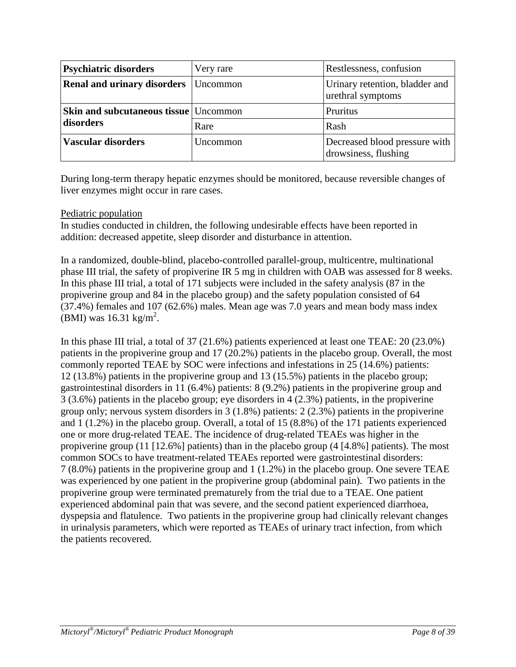| <b>Psychiatric disorders</b>                 | Very rare | Restlessness, confusion                               |
|----------------------------------------------|-----------|-------------------------------------------------------|
| Renal and urinary disorders                  | Uncommon  | Urinary retention, bladder and<br>urethral symptoms   |
| <b>Skin and subcutaneous tissue Uncommon</b> |           | Pruritus                                              |
| disorders                                    | Rare      | Rash                                                  |
| <b>Vascular disorders</b>                    | Uncommon  | Decreased blood pressure with<br>drowsiness, flushing |

During long-term therapy hepatic enzymes should be monitored, because reversible changes of liver enzymes might occur in rare cases.

### Pediatric population

In studies conducted in children, the following undesirable effects have been reported in addition: decreased appetite, sleep disorder and disturbance in attention.

In a randomized, double-blind, placebo-controlled parallel-group, multicentre, multinational phase III trial, the safety of propiverine IR 5 mg in children with OAB was assessed for 8 weeks. In this phase III trial, a total of 171 subjects were included in the safety analysis (87 in the propiverine group and 84 in the placebo group) and the safety population consisted of 64 (37.4%) females and 107 (62.6%) males. Mean age was 7.0 years and mean body mass index (BMI) was  $16.31 \text{ kg/m}^2$ .

In this phase III trial, a total of 37 (21.6%) patients experienced at least one TEAE: 20 (23.0%) patients in the propiverine group and 17 (20.2%) patients in the placebo group. Overall, the most commonly reported TEAE by SOC were infections and infestations in 25 (14.6%) patients: 12 (13.8%) patients in the propiverine group and 13 (15.5%) patients in the placebo group; gastrointestinal disorders in 11 (6.4%) patients: 8 (9.2%) patients in the propiverine group and 3 (3.6%) patients in the placebo group; eye disorders in 4 (2.3%) patients, in the propiverine group only; nervous system disorders in 3 (1.8%) patients: 2 (2.3%) patients in the propiverine and 1 (1.2%) in the placebo group. Overall, a total of 15 (8.8%) of the 171 patients experienced one or more drug-related TEAE. The incidence of drug-related TEAEs was higher in the propiverine group (11 [12.6%] patients) than in the placebo group (4 [4.8%] patients). The most common SOCs to have treatment-related TEAEs reported were gastrointestinal disorders: 7 (8.0%) patients in the propiverine group and 1 (1.2%) in the placebo group. One severe TEAE was experienced by one patient in the propiverine group (abdominal pain). Two patients in the propiverine group were terminated prematurely from the trial due to a TEAE. One patient experienced abdominal pain that was severe, and the second patient experienced diarrhoea, dyspepsia and flatulence. Two patients in the propiverine group had clinically relevant changes in urinalysis parameters, which were reported as TEAEs of urinary tract infection, from which the patients recovered.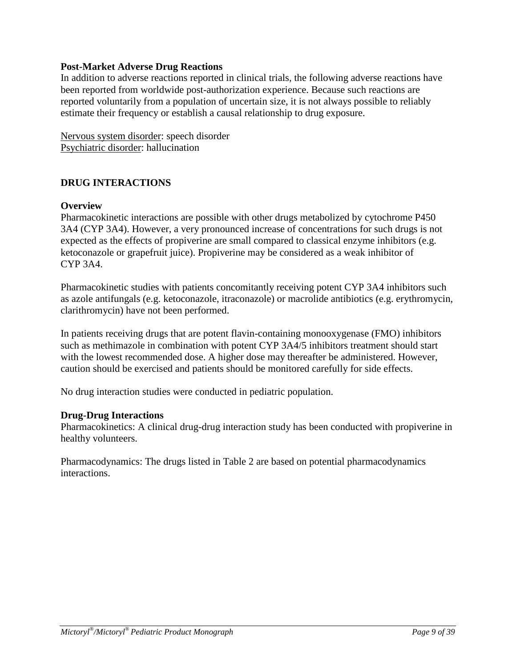### **Post-Market Adverse Drug Reactions**

In addition to adverse reactions reported in clinical trials, the following adverse reactions have been reported from worldwide post-authorization experience. Because such reactions are reported voluntarily from a population of uncertain size, it is not always possible to reliably estimate their frequency or establish a causal relationship to drug exposure.

Nervous system disorder: speech disorder Psychiatric disorder: hallucination

# <span id="page-8-0"></span>**DRUG INTERACTIONS**

### **Overview**

Pharmacokinetic interactions are possible with other drugs metabolized by cytochrome P450 3A4 (CYP 3A4). However, a very pronounced increase of concentrations for such drugs is not expected as the effects of propiverine are small compared to classical enzyme inhibitors (e.g. ketoconazole or grapefruit juice). Propiverine may be considered as a weak inhibitor of CYP 3A4.

Pharmacokinetic studies with patients concomitantly receiving potent CYP 3A4 inhibitors such as azole antifungals (e.g. ketoconazole, itraconazole) or macrolide antibiotics (e.g. erythromycin, clarithromycin) have not been performed.

In patients receiving drugs that are potent flavin-containing monooxygenase (FMO) inhibitors such as methimazole in combination with potent CYP 3A4/5 inhibitors treatment should start with the lowest recommended dose. A higher dose may thereafter be administered. However, caution should be exercised and patients should be monitored carefully for side effects.

No drug interaction studies were conducted in pediatric population.

### **Drug-Drug Interactions**

Pharmacokinetics: A clinical drug-drug interaction study has been conducted with propiverine in healthy volunteers.

Pharmacodynamics: The drugs listed in Table 2 are based on potential pharmacodynamics interactions.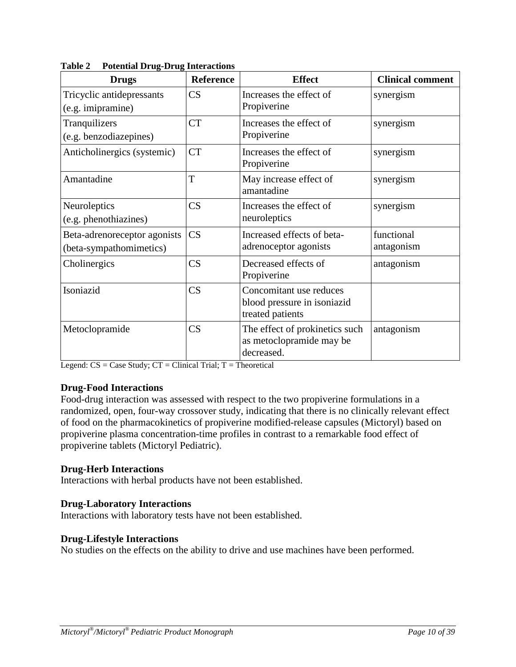| <b>Drugs</b>                                            | <b>Reference</b>       | <b>Effect</b>                                                              | <b>Clinical comment</b>  |
|---------------------------------------------------------|------------------------|----------------------------------------------------------------------------|--------------------------|
| Tricyclic antidepressants<br>(e.g. imipramine)          | CS                     | Increases the effect of<br>Propiverine                                     | synergism                |
| Tranquilizers<br>(e.g. benzodiazepines)                 | CT                     | Increases the effect of<br>Propiverine                                     | synergism                |
| Anticholinergics (systemic)                             | <b>CT</b>              | Increases the effect of<br>Propiverine                                     | synergism                |
| Amantadine                                              | T                      | May increase effect of<br>amantadine                                       | synergism                |
| Neuroleptics<br>(e.g. phenothiazines)                   | $\overline{\text{CS}}$ | Increases the effect of<br>neuroleptics                                    | synergism                |
| Beta-adrenoreceptor agonists<br>(beta-sympathomimetics) | $\overline{\text{CS}}$ | Increased effects of beta-<br>adrenoceptor agonists                        | functional<br>antagonism |
| Cholinergics                                            | $\overline{\text{CS}}$ | Decreased effects of<br>Propiverine                                        | antagonism               |
| Isoniazid                                               | $\overline{\text{CS}}$ | Concomitant use reduces<br>blood pressure in isoniazid<br>treated patients |                          |
| Metoclopramide                                          | $\overline{\text{CS}}$ | The effect of prokinetics such<br>as metoclopramide may be<br>decreased.   | antagonism               |

**Table 2 Potential Drug-Drug Interactions**

Legend:  $CS = Case$  Study;  $CT = Clinical$  Trial;  $T = Theoretical$ 

### **Drug-Food Interactions**

Food-drug interaction was assessed with respect to the two propiverine formulations in a randomized, open, four-way crossover study, indicating that there is no clinically relevant effect of food on the pharmacokinetics of propiverine modified-release capsules (Mictoryl) based on propiverine plasma concentration-time profiles in contrast to a remarkable food effect of propiverine tablets (Mictoryl Pediatric).

### **Drug-Herb Interactions**

Interactions with herbal products have not been established.

### **Drug-Laboratory Interactions**

Interactions with laboratory tests have not been established.

### **Drug-Lifestyle Interactions**

No studies on the effects on the ability to drive and use machines have been performed.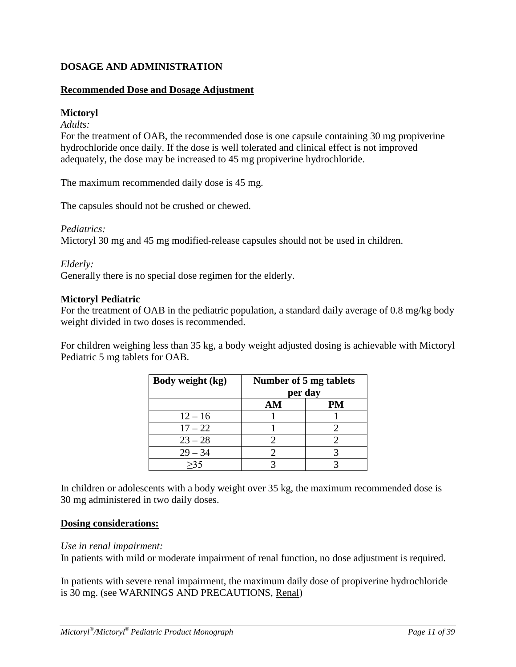# <span id="page-10-0"></span>**DOSAGE AND ADMINISTRATION**

### **Recommended Dose and Dosage Adjustment**

### **Mictoryl**

*Adults:*

For the treatment of OAB, the recommended dose is one capsule containing 30 mg propiverine hydrochloride once daily. If the dose is well tolerated and clinical effect is not improved adequately, the dose may be increased to 45 mg propiverine hydrochloride.

The maximum recommended daily dose is 45 mg.

The capsules should not be crushed or chewed.

#### *Pediatrics:*

Mictoryl 30 mg and 45 mg modified-release capsules should not be used in children.

### *Elderly:*

Generally there is no special dose regimen for the elderly.

#### **Mictoryl Pediatric**

For the treatment of OAB in the pediatric population, a standard daily average of 0.8 mg/kg body weight divided in two doses is recommended.

For children weighing less than 35 kg, a body weight adjusted dosing is achievable with Mictoryl Pediatric 5 mg tablets for OAB.

| Body weight (kg) | Number of 5 mg tablets<br>per day |    |  |
|------------------|-----------------------------------|----|--|
|                  | AM                                | PM |  |
| $12 - 16$        |                                   |    |  |
| $17 - 22$        |                                   |    |  |
| $23 - 28$        |                                   |    |  |
| $29 - 34$        |                                   |    |  |
|                  |                                   |    |  |

In children or adolescents with a body weight over 35 kg, the maximum recommended dose is 30 mg administered in two daily doses.

### **Dosing considerations:**

#### *Use in renal impairment:*

In patients with mild or moderate impairment of renal function, no dose adjustment is required.

In patients with severe renal impairment, the maximum daily dose of propiverine hydrochloride is 30 mg. (see WARNINGS AND PRECAUTIONS, Renal)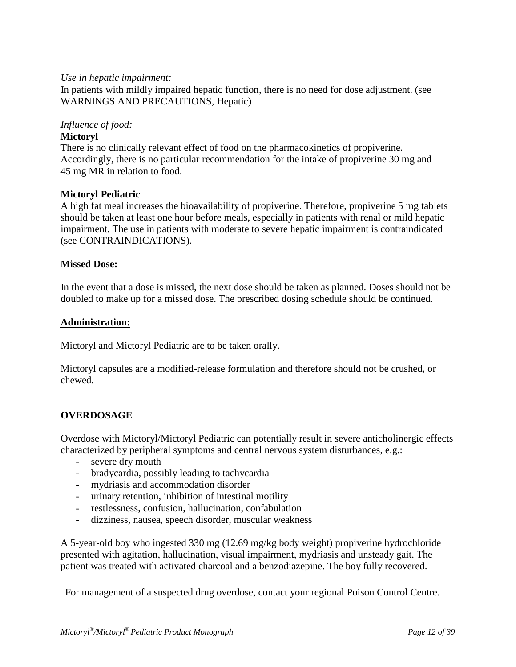### *Use in hepatic impairment:*

In patients with mildly impaired hepatic function, there is no need for dose adjustment. (see WARNINGS AND PRECAUTIONS, Hepatic)

### *Influence of food:*

### **Mictoryl**

There is no clinically relevant effect of food on the pharmacokinetics of propiverine. Accordingly, there is no particular recommendation for the intake of propiverine 30 mg and 45 mg MR in relation to food.

### **Mictoryl Pediatric**

A high fat meal increases the bioavailability of propiverine. Therefore, propiverine 5 mg tablets should be taken at least one hour before meals, especially in patients with renal or mild hepatic impairment. The use in patients with moderate to severe hepatic impairment is contraindicated (see CONTRAINDICATIONS).

### **Missed Dose:**

In the event that a dose is missed, the next dose should be taken as planned. Doses should not be doubled to make up for a missed dose. The prescribed dosing schedule should be continued.

### **Administration:**

Mictoryl and Mictoryl Pediatric are to be taken orally.

Mictoryl capsules are a modified-release formulation and therefore should not be crushed, or chewed.

### <span id="page-11-0"></span>**OVERDOSAGE**

Overdose with Mictoryl/Mictoryl Pediatric can potentially result in severe anticholinergic effects characterized by peripheral symptoms and central nervous system disturbances, e.g.:

- severe dry mouth
- bradycardia, possibly leading to tachycardia
- mydriasis and accommodation disorder
- urinary retention, inhibition of intestinal motility
- restlessness, confusion, hallucination, confabulation
- dizziness, nausea, speech disorder, muscular weakness

A 5-year-old boy who ingested 330 mg (12.69 mg/kg body weight) propiverine hydrochloride presented with agitation, hallucination, visual impairment, mydriasis and unsteady gait. The patient was treated with activated charcoal and a benzodiazepine. The boy fully recovered.

For management of a suspected drug overdose, contact your regional Poison Control Centre.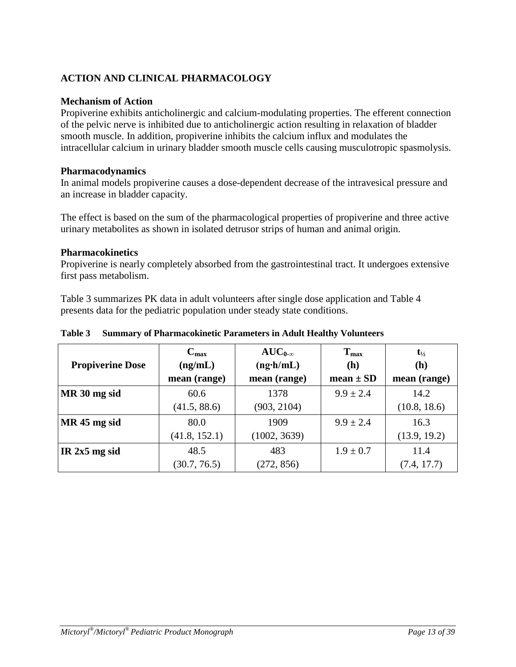# <span id="page-12-0"></span>**ACTION AND CLINICAL PHARMACOLOGY**

### **Mechanism of Action**

Propiverine exhibits anticholinergic and calcium-modulating properties. The efferent connection of the pelvic nerve is inhibited due to anticholinergic action resulting in relaxation of bladder smooth muscle. In addition, propiverine inhibits the calcium influx and modulates the intracellular calcium in urinary bladder smooth muscle cells causing musculotropic spasmolysis.

### **Pharmacodynamics**

In animal models propiverine causes a dose-dependent decrease of the intravesical pressure and an increase in bladder capacity.

The effect is based on the sum of the pharmacological properties of propiverine and three active urinary metabolites as shown in isolated detrusor strips of human and animal origin.

### **Pharmacokinetics**

Propiverine is nearly completely absorbed from the gastrointestinal tract. It undergoes extensive first pass metabolism.

Table 3 summarizes PK data in adult volunteers after single dose application and Table 4 presents data for the pediatric population under steady state conditions.

| <b>Propiverine Dose</b> | $C_{\text{max}}$<br>(ng/mL)<br>mean (range) | $AUC_{0-\infty}$<br>$(ng\cdot h/mL)$<br>mean (range) | $T_{max}$<br>(h)<br>$mean \pm SD$ | $t_{\frac{1}{2}}$<br>(h)<br>mean (range) |
|-------------------------|---------------------------------------------|------------------------------------------------------|-----------------------------------|------------------------------------------|
| MR 30 mg sid            | 60.6                                        | 1378                                                 | $9.9 \pm 2.4$                     | 14.2                                     |
|                         | (41.5, 88.6)                                | (903, 2104)                                          |                                   | (10.8, 18.6)                             |
| MR 45 mg sid            | 80.0                                        | 1909                                                 | $9.9 \pm 2.4$                     | 16.3                                     |
|                         | (41.8, 152.1)                               | (1002, 3639)                                         |                                   | (13.9, 19.2)                             |
| IR $2x5$ mg sid         | 48.5                                        | 483                                                  | $1.9 \pm 0.7$                     | 11.4                                     |
|                         | (30.7, 76.5)                                | (272, 856)                                           |                                   | (7.4, 17.7)                              |

### **Table 3 Summary of Pharmacokinetic Parameters in Adult Healthy Volunteers**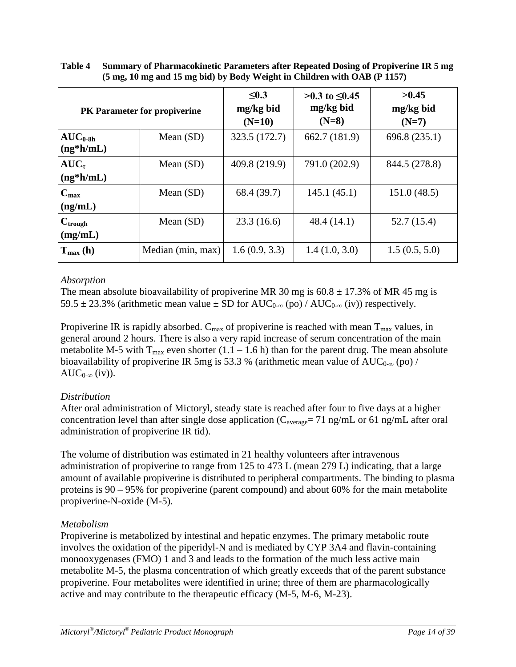| PK Parameter for propiverine                     |                   | $\leq 0.3$<br>mg/kg bid<br>$(N=10)$ | >0.3 to ≤0.45<br>mg/kg bid<br>$(N=8)$ | >0.45<br>mg/kg bid<br>$(N=7)$ |
|--------------------------------------------------|-------------------|-------------------------------------|---------------------------------------|-------------------------------|
| $\rm AUC_{0.8h}$<br>$(ng*h/mL)$                  | Mean $(SD)$       | 323.5 (172.7)                       | 662.7 (181.9)                         | 696.8 (235.1)                 |
| $AUC_{\tau}$<br>$(ng*h/mL)$                      | Mean $(SD)$       | 409.8 (219.9)                       | 791.0 (202.9)                         | 844.5 (278.8)                 |
| $C_{\text{max}}$<br>(ng/mL)                      | Mean $(SD)$       | 68.4 (39.7)                         | 145.1(45.1)                           | 151.0(48.5)                   |
| $C_{trough}$<br>(mg/mL)                          | Mean $(SD)$       | 23.3(16.6)                          | 48.4(14.1)                            | 52.7(15.4)                    |
| $\mathbf{T}_{\text{max}}\left(\mathbf{h}\right)$ | Median (min, max) | 1.6(0.9, 3.3)                       | 1.4(1.0, 3.0)                         | 1.5(0.5, 5.0)                 |

| Table 4 | <b>Summary of Pharmacokinetic Parameters after Repeated Dosing of Propiverine IR 5 mg</b> |
|---------|-------------------------------------------------------------------------------------------|
|         | (5 mg, 10 mg and 15 mg bid) by Body Weight in Children with OAB (P 1157)                  |

# *Absorption*

The mean absolute bioavailability of propiverine MR 30 mg is  $60.8 \pm 17.3\%$  of MR 45 mg is 59.5 ± 23.3% (arithmetic mean value ± SD for  $AUC_{0-\infty}$  (po) /  $AUC_{0-\infty}$  (iv)) respectively.

Propiverine IR is rapidly absorbed.  $C_{max}$  of propiverine is reached with mean  $T_{max}$  values, in general around 2 hours. There is also a very rapid increase of serum concentration of the main metabolite M-5 with  $T_{max}$  even shorter (1.1 – 1.6 h) than for the parent drug. The mean absolute bioavailability of propiverine IR 5mg is 53.3 % (arithmetic mean value of  $AUC_{0-\infty}$  (po) /  $AUC_{0-\infty}$  (iv)).

# *Distribution*

After oral administration of Mictoryl, steady state is reached after four to five days at a higher concentration level than after single dose application (C<sub>average</sub>= 71 ng/mL or 61 ng/mL after oral administration of propiverine IR tid).

The volume of distribution was estimated in 21 healthy volunteers after intravenous administration of propiverine to range from 125 to 473 L (mean 279 L) indicating, that a large amount of available propiverine is distributed to peripheral compartments. The binding to plasma proteins is 90 – 95% for propiverine (parent compound) and about 60% for the main metabolite propiverine-N-oxide (M-5).

# *Metabolism*

Propiverine is metabolized by intestinal and hepatic enzymes. The primary metabolic route involves the oxidation of the piperidyl-N and is mediated by CYP 3A4 and flavin-containing monooxygenases (FMO) 1 and 3 and leads to the formation of the much less active main metabolite M-5, the plasma concentration of which greatly exceeds that of the parent substance propiverine. Four metabolites were identified in urine; three of them are pharmacologically active and may contribute to the therapeutic efficacy (M-5, M-6, M-23).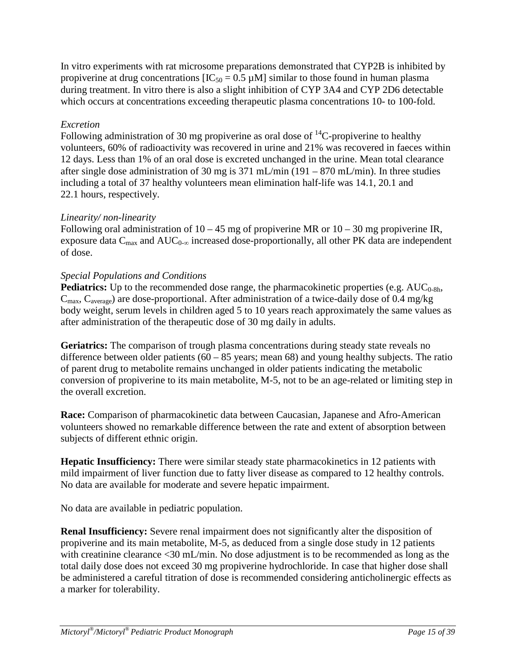In vitro experiments with rat microsome preparations demonstrated that CYP2B is inhibited by propiverine at drug concentrations  $[IC_{50} = 0.5 \mu M]$  similar to those found in human plasma during treatment. In vitro there is also a slight inhibition of CYP 3A4 and CYP 2D6 detectable which occurs at concentrations exceeding therapeutic plasma concentrations 10- to 100-fold.

# *Excretion*

Following administration of 30 mg propiverine as oral dose of  $^{14}$ C-propiverine to healthy volunteers, 60% of radioactivity was recovered in urine and 21% was recovered in faeces within 12 days. Less than 1% of an oral dose is excreted unchanged in the urine. Mean total clearance after single dose administration of 30 mg is 371 mL/min (191 – 870 mL/min). In three studies including a total of 37 healthy volunteers mean elimination half-life was 14.1, 20.1 and 22.1 hours, respectively.

# *Linearity/ non-linearity*

Following oral administration of  $10 - 45$  mg of propiverine MR or  $10 - 30$  mg propiverine IR, exposure data  $C_{\text{max}}$  and  $AUC_{0-\infty}$  increased dose-proportionally, all other PK data are independent of dose.

# *Special Populations and Conditions*

**Pediatrics:** Up to the recommended dose range, the pharmacokinetic properties (e.g.  $AUC_{0-8h}$ ,  $C_{\text{max}}$ ,  $C_{\text{average}}$ ) are dose-proportional. After administration of a twice-daily dose of 0.4 mg/kg body weight, serum levels in children aged 5 to 10 years reach approximately the same values as after administration of the therapeutic dose of 30 mg daily in adults.

**Geriatrics:** The comparison of trough plasma concentrations during steady state reveals no difference between older patients  $(60 - 85$  years; mean 68) and young healthy subjects. The ratio of parent drug to metabolite remains unchanged in older patients indicating the metabolic conversion of propiverine to its main metabolite, M-5, not to be an age-related or limiting step in the overall excretion.

**Race:** Comparison of pharmacokinetic data between Caucasian, Japanese and Afro-American volunteers showed no remarkable difference between the rate and extent of absorption between subjects of different ethnic origin.

**Hepatic Insufficiency:** There were similar steady state pharmacokinetics in 12 patients with mild impairment of liver function due to fatty liver disease as compared to 12 healthy controls. No data are available for moderate and severe hepatic impairment.

No data are available in pediatric population.

**Renal Insufficiency:** Severe renal impairment does not significantly alter the disposition of propiverine and its main metabolite, M-5, as deduced from a single dose study in 12 patients with creatinine clearance <30 mL/min. No dose adjustment is to be recommended as long as the total daily dose does not exceed 30 mg propiverine hydrochloride. In case that higher dose shall be administered a careful titration of dose is recommended considering anticholinergic effects as a marker for tolerability.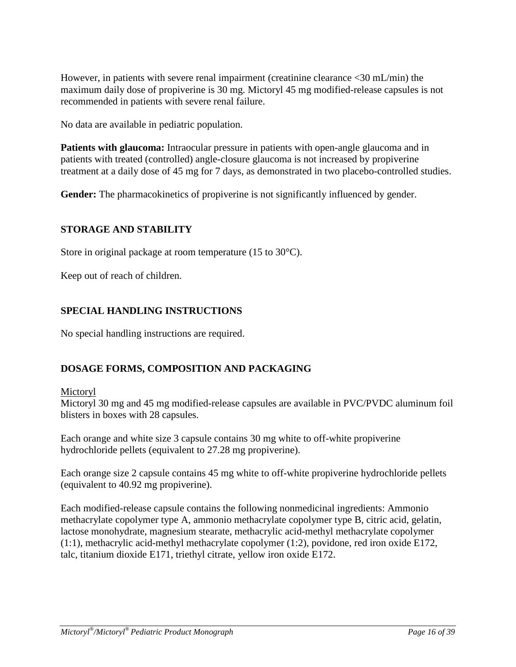However, in patients with severe renal impairment (creatinine clearance <30 mL/min) the maximum daily dose of propiverine is 30 mg. Mictoryl 45 mg modified-release capsules is not recommended in patients with severe renal failure.

No data are available in pediatric population.

**Patients with glaucoma:** Intraocular pressure in patients with open-angle glaucoma and in patients with treated (controlled) angle-closure glaucoma is not increased by propiverine treatment at a daily dose of 45 mg for 7 days, as demonstrated in two placebo-controlled studies.

Gender: The pharmacokinetics of propiverine is not significantly influenced by gender.

### <span id="page-15-0"></span>**STORAGE AND STABILITY**

Store in original package at room temperature (15 to 30°C).

Keep out of reach of children.

### <span id="page-15-1"></span>**SPECIAL HANDLING INSTRUCTIONS**

No special handling instructions are required.

### <span id="page-15-2"></span>**DOSAGE FORMS, COMPOSITION AND PACKAGING**

### Mictoryl

Mictoryl 30 mg and 45 mg modified-release capsules are available in PVC/PVDC aluminum foil blisters in boxes with 28 capsules.

Each orange and white size 3 capsule contains 30 mg white to off-white propiverine hydrochloride pellets (equivalent to 27.28 mg propiverine).

Each orange size 2 capsule contains 45 mg white to off-white propiverine hydrochloride pellets (equivalent to 40.92 mg propiverine).

Each modified-release capsule contains the following nonmedicinal ingredients: Ammonio methacrylate copolymer type A, ammonio methacrylate copolymer type B, citric acid, gelatin, lactose monohydrate, magnesium stearate, methacrylic acid-methyl methacrylate copolymer (1:1), methacrylic acid-methyl methacrylate copolymer (1:2), povidone, red iron oxide E172, talc, titanium dioxide E171, triethyl citrate, yellow iron oxide E172.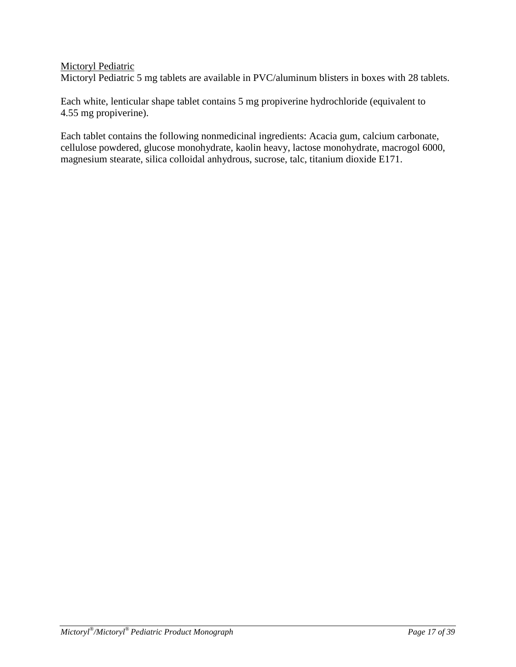### Mictoryl Pediatric

Mictoryl Pediatric 5 mg tablets are available in PVC/aluminum blisters in boxes with 28 tablets.

Each white, lenticular shape tablet contains 5 mg propiverine hydrochloride (equivalent to 4.55 mg propiverine).

Each tablet contains the following nonmedicinal ingredients: Acacia gum, calcium carbonate, cellulose powdered, glucose monohydrate, kaolin heavy, lactose monohydrate, macrogol 6000, magnesium stearate, silica colloidal anhydrous, sucrose, talc, titanium dioxide E171.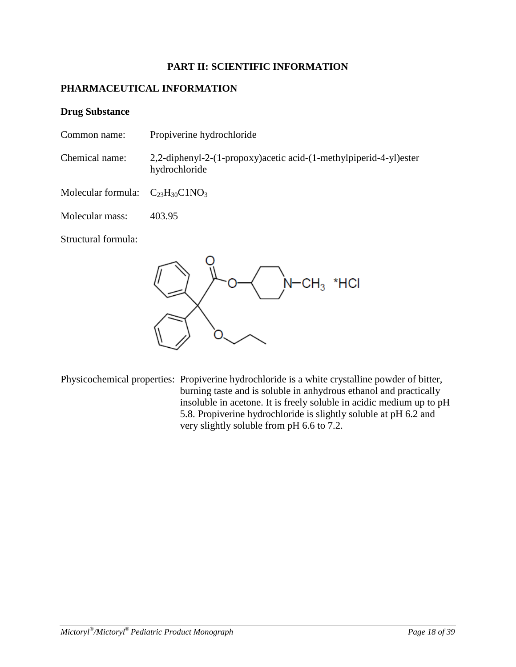### **PART II: SCIENTIFIC INFORMATION**

### <span id="page-17-1"></span><span id="page-17-0"></span>**PHARMACEUTICAL INFORMATION**

### **Drug Substance**

- Common name: Propiverine hydrochloride
- Chemical name: 2,2-diphenyl-2-(1-propoxy)acetic acid-(1-methylpiperid-4-yl)ester hydrochloride
- Molecular formula:  $C_{23}H_{30}C1NO_3$
- Molecular mass: 403.95

Structural formula:

\*HCI  $CH<sub>3</sub>$ 

Physicochemical properties: Propiverine hydrochloride is a white crystalline powder of bitter, burning taste and is soluble in anhydrous ethanol and practically insoluble in acetone. It is freely soluble in acidic medium up to pH 5.8. Propiverine hydrochloride is slightly soluble at pH 6.2 and very slightly soluble from pH 6.6 to 7.2.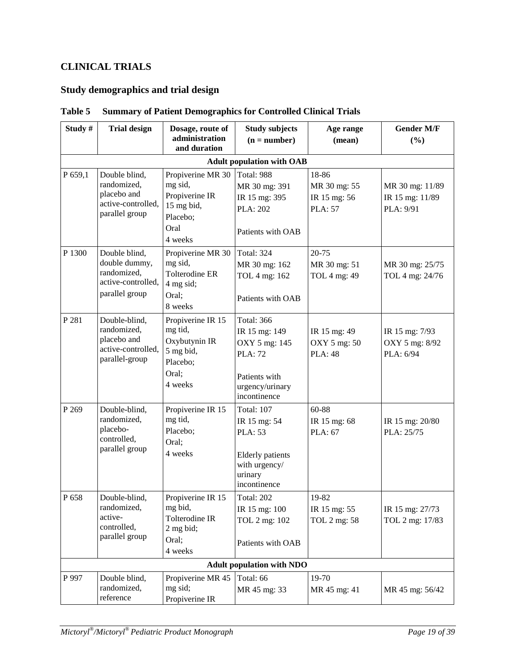# <span id="page-18-0"></span>**CLINICAL TRIALS**

# **Study demographics and trial design**

| Study#  | <b>Trial design</b>                                                                   | Dosage, route of<br>administration<br>and duration                                          | <b>Study subjects</b><br>$(n = number)$                                                                                   | Age range<br>(mean)                                     | <b>Gender M/F</b><br>(%)                        |
|---------|---------------------------------------------------------------------------------------|---------------------------------------------------------------------------------------------|---------------------------------------------------------------------------------------------------------------------------|---------------------------------------------------------|-------------------------------------------------|
|         |                                                                                       |                                                                                             | <b>Adult population with OAB</b>                                                                                          |                                                         |                                                 |
| P 659,1 | Double blind,<br>randomized,<br>placebo and<br>active-controlled,<br>parallel group   | Propiverine MR 30<br>mg sid,<br>Propiverine IR<br>15 mg bid,<br>Placebo;<br>Oral<br>4 weeks | Total: 988<br>MR 30 mg: 391<br>IR 15 mg: 395<br><b>PLA: 202</b><br>Patients with OAB                                      | 18-86<br>MR 30 mg: 55<br>IR 15 mg: 56<br><b>PLA: 57</b> | MR 30 mg: 11/89<br>IR 15 mg: 11/89<br>PLA: 9/91 |
| P 1300  | Double blind,<br>double dummy,<br>randomized,<br>active-controlled,<br>parallel group | Propiverine MR 30<br>mg sid,<br><b>Tolterodine ER</b><br>4 mg sid;<br>Oral;<br>8 weeks      | <b>Total: 324</b><br>MR 30 mg: 162<br>TOL 4 mg: 162<br>Patients with OAB                                                  | 20-75<br>MR 30 mg: 51<br>TOL 4 mg: 49                   | MR 30 mg: 25/75<br>TOL 4 mg: 24/76              |
| P 281   | Double-blind,<br>randomized,<br>placebo and<br>active-controlled,<br>parallel-group   | Propiverine IR 15<br>mg tid,<br>Oxybutynin IR<br>5 mg bid,<br>Placebo;<br>Oral;<br>4 weeks  | <b>Total: 366</b><br>IR 15 mg: 149<br>OXY 5 mg: 145<br><b>PLA: 72</b><br>Patients with<br>urgency/urinary<br>incontinence | IR 15 mg: 49<br>OXY 5 mg: 50<br><b>PLA: 48</b>          | IR 15 mg: 7/93<br>OXY 5 mg: 8/92<br>PLA: 6/94   |
| P 269   | Double-blind,<br>randomized,<br>placebo-<br>controlled,<br>parallel group             | Propiverine IR 15<br>mg tid,<br>Placebo;<br>Oral;<br>4 weeks                                | <b>Total: 107</b><br>IR 15 mg: 54<br>PLA: 53<br><b>Elderly</b> patients<br>with urgency/<br>urinary<br>incontinence       | 60-88<br>IR 15 mg: 68<br>PLA: 67                        | IR 15 mg: 20/80<br>PLA: 25/75                   |
| P 658   | Double-blind,<br>randomized,<br>active-<br>controlled,<br>parallel group              | Propiverine IR 15<br>mg bid,<br>Tolterodine IR<br>$2$ mg bid;<br>Oral;<br>4 weeks           | <b>Total: 202</b><br>IR 15 mg: 100<br>TOL 2 mg: 102<br>Patients with OAB                                                  | 19-82<br>IR 15 mg: 55<br>TOL 2 mg: 58                   | IR 15 mg: 27/73<br>TOL 2 mg: 17/83              |
|         |                                                                                       |                                                                                             | <b>Adult population with NDO</b>                                                                                          |                                                         |                                                 |
| P 997   | Double blind,<br>randomized,<br>reference                                             | Propiverine MR 45<br>mg sid;<br>Propiverine IR                                              | Total: 66<br>MR 45 mg: 33                                                                                                 | 19-70<br>MR 45 mg: 41                                   | MR 45 mg: 56/42                                 |

### **Table 5 Summary of Patient Demographics for Controlled Clinical Trials**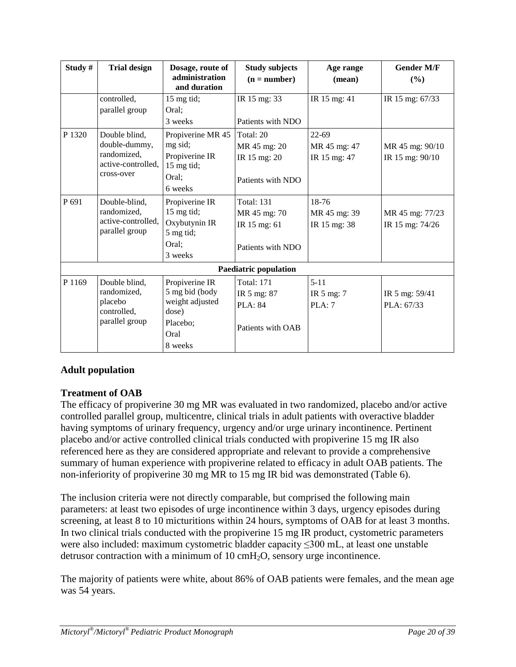| Study# | <b>Trial design</b>                                                               | Dosage, route of<br>administration<br>and duration                                          | <b>Study subjects</b><br>$(n = number)$                                  | Age range<br>(mean)                       | <b>Gender M/F</b><br>$($ %)        |
|--------|-----------------------------------------------------------------------------------|---------------------------------------------------------------------------------------------|--------------------------------------------------------------------------|-------------------------------------------|------------------------------------|
|        | controlled,<br>parallel group                                                     | 15 mg tid;<br>Oral:<br>3 weeks                                                              | IR 15 mg: 33<br>Patients with NDO                                        | IR $15$ mg: 41                            | $\overline{IR}$ 15 mg: 67/33       |
| P 1320 | Double blind,<br>double-dummy,<br>randomized,<br>active-controlled,<br>cross-over | Propiverine MR 45<br>mg sid;<br>Propiverine IR<br>15 mg tid;<br>Oral;<br>6 weeks            | Total: 20<br>MR 45 mg: 20<br>IR 15 mg: 20<br>Patients with NDO           | $22 - 69$<br>MR 45 mg: 47<br>IR 15 mg: 47 | MR 45 mg: 90/10<br>IR 15 mg: 90/10 |
| P 691  | Double-blind,<br>randomized,<br>active-controlled,<br>parallel group              | Propiverine IR<br>15 mg tid;<br>Oxybutynin IR<br>5 mg tid;<br>Oral;<br>3 weeks              | <b>Total: 131</b><br>MR 45 mg: 70<br>IR 15 mg: 61<br>Patients with NDO   | 18-76<br>MR 45 mg: 39<br>IR 15 mg: 38     | MR 45 mg: 77/23<br>IR 15 mg: 74/26 |
|        |                                                                                   |                                                                                             | <b>Paediatric population</b>                                             |                                           |                                    |
| P 1169 | Double blind,<br>randomized,<br>placebo<br>controlled,<br>parallel group          | Propiverine IR<br>5 mg bid (body<br>weight adjusted<br>dose)<br>Placebo;<br>Oral<br>8 weeks | <b>Total: 171</b><br>IR 5 mg: 87<br><b>PLA</b> : 84<br>Patients with OAB | $5 - 11$<br>IR 5 mg: 7<br>PLA:7           | IR 5 mg: 59/41<br>PLA: 67/33       |

# **Adult population**

# **Treatment of OAB**

The efficacy of propiverine 30 mg MR was evaluated in two randomized, placebo and/or active controlled parallel group, multicentre, clinical trials in adult patients with overactive bladder having symptoms of urinary frequency, urgency and/or urge urinary incontinence. Pertinent placebo and/or active controlled clinical trials conducted with propiverine 15 mg IR also referenced here as they are considered appropriate and relevant to provide a comprehensive summary of human experience with propiverine related to efficacy in adult OAB patients. The non-inferiority of propiverine 30 mg MR to 15 mg IR bid was demonstrated (Table 6).

The inclusion criteria were not directly comparable, but comprised the following main parameters: at least two episodes of urge incontinence within 3 days, urgency episodes during screening, at least 8 to 10 micturitions within 24 hours, symptoms of OAB for at least 3 months. In two clinical trials conducted with the propiverine 15 mg IR product, cystometric parameters were also included: maximum cystometric bladder capacity ≤300 mL, at least one unstable detrusor contraction with a minimum of  $10 \text{ cm}H_2O$ , sensory urge incontinence.

The majority of patients were white, about 86% of OAB patients were females, and the mean age was 54 years.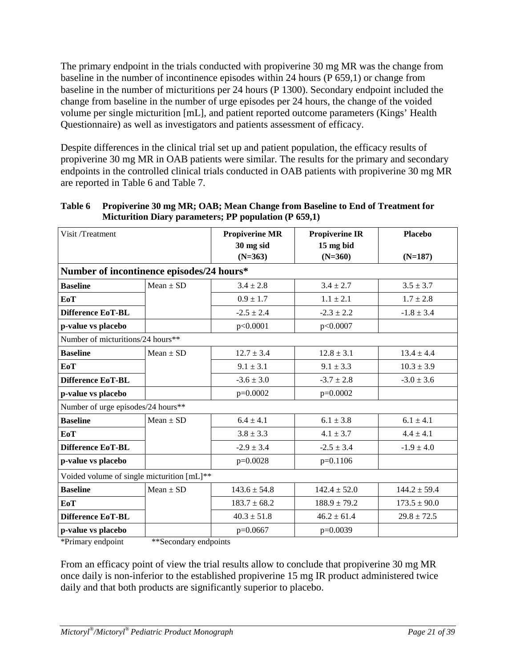The primary endpoint in the trials conducted with propiverine 30 mg MR was the change from baseline in the number of incontinence episodes within 24 hours (P 659,1) or change from baseline in the number of micturitions per 24 hours (P 1300). Secondary endpoint included the change from baseline in the number of urge episodes per 24 hours, the change of the voided volume per single micturition [mL], and patient reported outcome parameters (Kings' Health Questionnaire) as well as investigators and patients assessment of efficacy.

Despite differences in the clinical trial set up and patient population, the efficacy results of propiverine 30 mg MR in OAB patients were similar. The results for the primary and secondary endpoints in the controlled clinical trials conducted in OAB patients with propiverine 30 mg MR are reported in Table 6 and Table 7.

| Visit /Treatment                           |               | <b>Propiverine MR</b> | <b>Propiverine IR</b> | <b>Placebo</b>   |  |
|--------------------------------------------|---------------|-----------------------|-----------------------|------------------|--|
|                                            |               | 30 mg sid             | 15 mg bid             |                  |  |
|                                            |               | $(N=363)$             | $(N=360)$             | $(N=187)$        |  |
| Number of incontinence episodes/24 hours*  |               |                       |                       |                  |  |
| <b>Baseline</b>                            | $Mean \pm SD$ | $3.4 \pm 2.8$         | $3.4 \pm 2.7$         | $3.5 \pm 3.7$    |  |
| <b>EoT</b>                                 |               | $0.9 \pm 1.7$         | $1.1 \pm 2.1$         | $1.7 \pm 2.8$    |  |
| Difference EoT-BL                          |               | $-2.5 \pm 2.4$        | $-2.3 \pm 2.2$        | $-1.8 \pm 3.4$   |  |
| p-value vs placebo                         |               | p<0.0001              | p<0.0007              |                  |  |
| Number of micturitions/24 hours**          |               |                       |                       |                  |  |
| <b>Baseline</b>                            | $Mean \pm SD$ | $12.7 \pm 3.4$        | $12.8 \pm 3.1$        | $13.4 \pm 4.4$   |  |
| <b>EoT</b>                                 |               | $9.1 \pm 3.1$         | $9.1 \pm 3.3$         | $10.3 \pm 3.9$   |  |
| <b>Difference EoT-BL</b>                   |               | $-3.6 \pm 3.0$        | $-3.7 \pm 2.8$        | $-3.0 \pm 3.6$   |  |
| p-value vs placebo                         |               | $p=0.0002$            | $p=0.0002$            |                  |  |
| Number of urge episodes/24 hours**         |               |                       |                       |                  |  |
| <b>Baseline</b>                            | $Mean \pm SD$ | $6.4 \pm 4.1$         | $6.1 \pm 3.8$         | $6.1 \pm 4.1$    |  |
| EoT                                        |               | $3.8 \pm 3.3$         | $4.1 \pm 3.7$         | $4.4 \pm 4.1$    |  |
| <b>Difference EoT-BL</b>                   |               | $-2.9 \pm 3.4$        | $-2.5 \pm 3.4$        | $-1.9 \pm 4.0$   |  |
| p-value vs placebo                         |               | $p=0.0028$            | $p=0.1106$            |                  |  |
| Voided volume of single micturition [mL]** |               |                       |                       |                  |  |
| <b>Baseline</b>                            | $Mean \pm SD$ | $143.6 \pm 54.8$      | $142.4 \pm 52.0$      | $144.2 \pm 59.4$ |  |
| EoT                                        |               | $183.7 \pm 68.2$      | $188.9 \pm 79.2$      | $173.5 \pm 90.0$ |  |
| Difference EoT-BL                          |               | $40.3 \pm 51.8$       | $46.2 \pm 61.4$       | $29.8 \pm 72.5$  |  |
| p-value vs placebo                         |               | $p=0.0667$            | $p=0.0039$            |                  |  |

| Table 6 Propiverine 30 mg MR; OAB; Mean Change from Baseline to End of Treatment for |
|--------------------------------------------------------------------------------------|
| Micturition Diary parameters; PP population (P 659,1)                                |

\*Primary endpoint \*\*Secondary endpoints

From an efficacy point of view the trial results allow to conclude that propiverine 30 mg MR once daily is non-inferior to the established propiverine 15 mg IR product administered twice daily and that both products are significantly superior to placebo.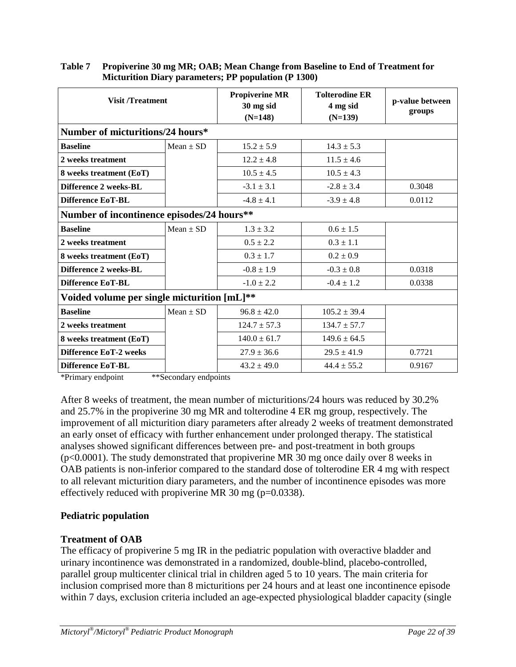| <b>Visit /Treatment</b>                     |               | <b>Propiverine MR</b><br>30 mg sid<br>$(N=148)$ | <b>Tolterodine ER</b><br>4 mg sid<br>$(N=139)$ | p-value between<br>groups |
|---------------------------------------------|---------------|-------------------------------------------------|------------------------------------------------|---------------------------|
| Number of micturitions/24 hours*            |               |                                                 |                                                |                           |
| <b>Baseline</b>                             | $Mean \pm SD$ | $15.2 \pm 5.9$                                  | $14.3 \pm 5.3$                                 |                           |
| 2 weeks treatment                           |               | $12.2 \pm 4.8$                                  | $11.5 \pm 4.6$                                 |                           |
| 8 weeks treatment (EoT)                     |               | $10.5 \pm 4.5$                                  | $10.5 \pm 4.3$                                 |                           |
| Difference 2 weeks-BL                       |               | $-3.1 \pm 3.1$                                  | $-2.8 \pm 3.4$                                 | 0.3048                    |
| <b>Difference EoT-BL</b>                    |               | $-4.8 \pm 4.1$                                  | $-3.9 \pm 4.8$                                 | 0.0112                    |
| Number of incontinence episodes/24 hours**  |               |                                                 |                                                |                           |
| <b>Baseline</b>                             | $Mean \pm SD$ | $1.3 \pm 3.2$                                   | $0.6 \pm 1.5$                                  |                           |
| 2 weeks treatment                           |               | $0.5 \pm 2.2$                                   | $0.3 \pm 1.1$                                  |                           |
| 8 weeks treatment (EoT)                     |               | $0.3 \pm 1.7$                                   | $0.2 \pm 0.9$                                  |                           |
| Difference 2 weeks-BL                       |               | $-0.8 \pm 1.9$                                  | $-0.3 \pm 0.8$                                 | 0.0318                    |
| <b>Difference EoT-BL</b>                    |               | $-1.0 \pm 2.2$                                  | $-0.4 \pm 1.2$                                 | 0.0338                    |
| Voided volume per single micturition [mL]** |               |                                                 |                                                |                           |
| <b>Baseline</b>                             | $Mean \pm SD$ | $96.8 \pm 42.0$                                 | $105.2 \pm 39.4$                               |                           |
| 2 weeks treatment                           |               | $124.7 \pm 57.3$                                | $134.7 \pm 57.7$                               |                           |
| 8 weeks treatment (EoT)                     |               | $140.0 \pm 61.7$                                | $149.6 \pm 64.5$                               |                           |
| <b>Difference EoT-2 weeks</b>               |               | $27.9 \pm 36.6$                                 | $29.5 \pm 41.9$                                | 0.7721                    |
| <b>Difference EoT-BL</b>                    |               | $43.2 \pm 49.0$                                 | $44.4 \pm 55.2$                                | 0.9167                    |

| Table 7 | <b>Propiverine 30 mg MR; OAB; Mean Change from Baseline to End of Treatment for</b> |
|---------|-------------------------------------------------------------------------------------|
|         | Micturition Diary parameters; PP population (P 1300)                                |

\*Primary endpoint \*\*Secondary endpoints

After 8 weeks of treatment, the mean number of micturitions/24 hours was reduced by 30.2% and 25.7% in the propiverine 30 mg MR and tolterodine 4 ER mg group, respectively. The improvement of all micturition diary parameters after already 2 weeks of treatment demonstrated an early onset of efficacy with further enhancement under prolonged therapy. The statistical analyses showed significant differences between pre- and post-treatment in both groups (p<0.0001). The study demonstrated that propiverine MR 30 mg once daily over 8 weeks in OAB patients is non-inferior compared to the standard dose of tolterodine ER 4 mg with respect to all relevant micturition diary parameters, and the number of incontinence episodes was more effectively reduced with propiverine MR 30 mg ( $p=0.0338$ ).

# **Pediatric population**

### **Treatment of OAB**

The efficacy of propiverine 5 mg IR in the pediatric population with overactive bladder and urinary incontinence was demonstrated in a randomized, double-blind, placebo-controlled, parallel group multicenter clinical trial in children aged 5 to 10 years. The main criteria for inclusion comprised more than 8 micturitions per 24 hours and at least one incontinence episode within 7 days, exclusion criteria included an age-expected physiological bladder capacity (single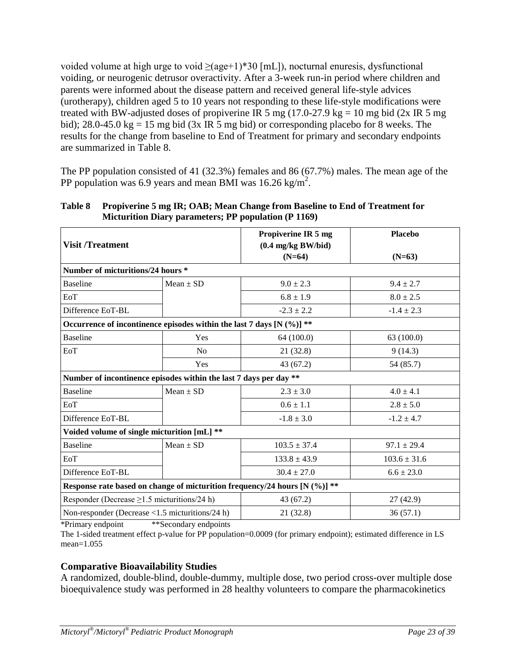voided volume at high urge to void  $\geq$ (age+1)\*30 [mL]), nocturnal enuresis, dysfunctional voiding, or neurogenic detrusor overactivity. After a 3-week run-in period where children and parents were informed about the disease pattern and received general life-style advices (urotherapy), children aged 5 to 10 years not responding to these life-style modifications were treated with BW-adjusted doses of propiverine IR 5 mg  $(17.0-27.9 \text{ kg} = 10 \text{ mg} \text{ bid } (2x \text{ IR } 5 \text{ mg})$ bid); 28.0-45.0 kg = 15 mg bid (3x IR 5 mg bid) or corresponding placebo for 8 weeks. The results for the change from baseline to End of Treatment for primary and secondary endpoints are summarized in Table 8.

The PP population consisted of 41 (32.3%) females and 86 (67.7%) males. The mean age of the PP population was 6.9 years and mean BMI was  $16.26 \text{ kg/m}^2$ .

| <b>Visit/Treatment</b>                                                    |                | Propiverine IR 5 mg<br>$(0.4 \text{ mg/kg BW/bid})$                            | <b>Placebo</b>   |  |
|---------------------------------------------------------------------------|----------------|--------------------------------------------------------------------------------|------------------|--|
|                                                                           |                | $(N=64)$                                                                       | $(N=63)$         |  |
| Number of micturitions/24 hours *                                         |                |                                                                                |                  |  |
| <b>Baseline</b>                                                           | $Mean \pm SD$  | $9.0 \pm 2.3$                                                                  | $9.4 \pm 2.7$    |  |
| EoT                                                                       |                | $6.8 \pm 1.9$                                                                  | $8.0 \pm 2.5$    |  |
| Difference EoT-BL                                                         |                | $-2.3 \pm 2.2$                                                                 | $-1.4 \pm 2.3$   |  |
| Occurrence of incontinence episodes within the last 7 days [N $(\%)$ ] ** |                |                                                                                |                  |  |
| <b>Baseline</b>                                                           | Yes            | 64 (100.0)                                                                     | 63 (100.0)       |  |
| EoT                                                                       | N <sub>0</sub> | 21(32.8)                                                                       | 9(14.3)          |  |
|                                                                           | Yes            | 43(67.2)                                                                       | 54 (85.7)        |  |
| Number of incontinence episodes within the last 7 days per day **         |                |                                                                                |                  |  |
| <b>Baseline</b>                                                           | $Mean \pm SD$  | $2.3 \pm 3.0$                                                                  | $4.0 \pm 4.1$    |  |
| EoT                                                                       |                | $0.6 \pm 1.1$                                                                  | $2.8 \pm 5.0$    |  |
| Difference EoT-BL                                                         |                | $-1.8 \pm 3.0$                                                                 | $-1.2 \pm 4.7$   |  |
| Voided volume of single micturition [mL] **                               |                |                                                                                |                  |  |
| <b>Baseline</b>                                                           | $Mean \pm SD$  | $103.5 \pm 37.4$                                                               | $97.1 \pm 29.4$  |  |
| EoT                                                                       |                | $133.8 \pm 43.9$                                                               | $103.6 \pm 31.6$ |  |
| Difference EoT-BL                                                         |                | $30.4 \pm 27.0$                                                                | $6.6 \pm 23.0$   |  |
|                                                                           |                | Response rate based on change of micturition frequency/24 hours [N $(\%)$ ] ** |                  |  |
| Responder (Decrease $\geq$ 1.5 micturitions/24 h)                         |                | 43 (67.2)                                                                      | 27(42.9)         |  |
| Non-responder (Decrease <1.5 micturitions/24 h)                           | 1.1.0          | 21(32.8)                                                                       | 36(57.1)         |  |

#### **Table 8 Propiverine 5 mg IR; OAB; Mean Change from Baseline to End of Treatment for Micturition Diary parameters; PP population (P 1169)**

\*Primary endpoint \*\*Secondary endpoints

The 1-sided treatment effect p-value for PP population=0.0009 (for primary endpoint); estimated difference in LS mean=1.055

### **Comparative Bioavailability Studies**

A randomized, double-blind, double-dummy, multiple dose, two period cross-over multiple dose bioequivalence study was performed in 28 healthy volunteers to compare the pharmacokinetics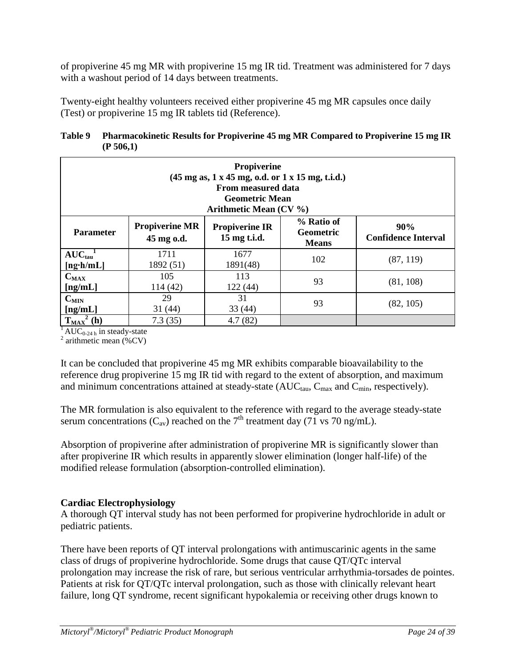of propiverine 45 mg MR with propiverine 15 mg IR tid. Treatment was administered for 7 days with a washout period of 14 days between treatments.

Twenty-eight healthy volunteers received either propiverine 45 mg MR capsules once daily (Test) or propiverine 15 mg IR tablets tid (Reference).

### **Table 9 Pharmacokinetic Results for Propiverine 45 mg MR Compared to Propiverine 15 mg IR (P 506,1)**

|                                       |                                     | <b>Propiverine</b><br>$(45 \text{ mg as}, 1 \text{ x } 45 \text{ mg}, 0.d. \text{ or } 1 \text{ x } 15 \text{ mg}, \text{ t.i.d.})$<br><b>From measured data</b><br><b>Geometric Mean</b><br>Arithmetic Mean $(CV \%)$ |                                                |                                   |
|---------------------------------------|-------------------------------------|------------------------------------------------------------------------------------------------------------------------------------------------------------------------------------------------------------------------|------------------------------------------------|-----------------------------------|
| <b>Parameter</b>                      | <b>Propiverine MR</b><br>45 mg o.d. | <b>Propiverine IR</b><br>15 mg t.i.d.                                                                                                                                                                                  | % Ratio of<br><b>Geometric</b><br><b>Means</b> | 90%<br><b>Confidence Interval</b> |
| $AUC_{tau}^{-1}$<br>$[ng \cdot h/mL]$ | 1711<br>1892 (51)                   | 1677<br>1891(48)                                                                                                                                                                                                       | 102                                            | (87, 119)                         |
| $\mathbf{C}_{\text{MAX}}$<br>[ng/mL]  | 105<br>114 (42)                     | 113<br>122(44)                                                                                                                                                                                                         | 93                                             | (81, 108)                         |
| $C_{MIN}$<br>[ng/mL]                  | 29<br>31(44)                        | 31<br>33(44)                                                                                                                                                                                                           | 93                                             | (82, 105)                         |
| $T_{\text{MAX}}$<br>(h)               | 7.3(35)                             | 4.7(82)                                                                                                                                                                                                                |                                                |                                   |

<sup>1</sup> AUC<sub>0-24 h</sub> in steady-state <sup>2</sup> arithmetic mean (%CV)

It can be concluded that propiverine 45 mg MR exhibits comparable bioavailability to the reference drug propiverine 15 mg IR tid with regard to the extent of absorption, and maximum and minimum concentrations attained at steady-state  $(AUC_{tau}, C_{max}$  and  $C_{min}$ , respectively).

The MR formulation is also equivalent to the reference with regard to the average steady-state serum concentrations ( $C_{av}$ ) reached on the 7<sup>th</sup> treatment day (71 vs 70 ng/mL).

Absorption of propiverine after administration of propiverine MR is significantly slower than after propiverine IR which results in apparently slower elimination (longer half-life) of the modified release formulation (absorption-controlled elimination).

# **Cardiac Electrophysiology**

A thorough QT interval study has not been performed for propiverine hydrochloride in adult or pediatric patients.

There have been reports of QT interval prolongations with antimuscarinic agents in the same class of drugs of propiverine hydrochloride. Some drugs that cause QT/QTc interval prolongation may increase the risk of rare, but serious ventricular arrhythmia-torsades de pointes. Patients at risk for QT/QTc interval prolongation, such as those with clinically relevant heart failure, long QT syndrome, recent significant hypokalemia or receiving other drugs known to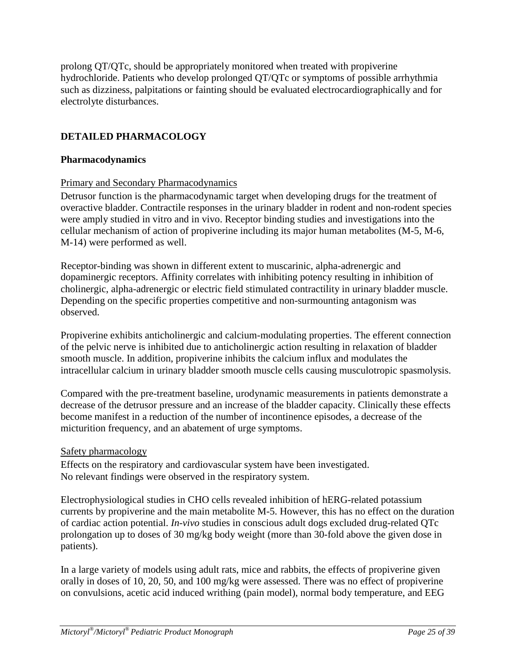prolong QT/QTc, should be appropriately monitored when treated with propiverine hydrochloride. Patients who develop prolonged QT/QTc or symptoms of possible arrhythmia such as dizziness, palpitations or fainting should be evaluated electrocardiographically and for electrolyte disturbances.

# <span id="page-24-0"></span>**DETAILED PHARMACOLOGY**

### **Pharmacodynamics**

### Primary and Secondary Pharmacodynamics

Detrusor function is the pharmacodynamic target when developing drugs for the treatment of overactive bladder. Contractile responses in the urinary bladder in rodent and non-rodent species were amply studied in vitro and in vivo. Receptor binding studies and investigations into the cellular mechanism of action of propiverine including its major human metabolites (M-5, M-6, M-14) were performed as well.

Receptor-binding was shown in different extent to muscarinic, alpha-adrenergic and dopaminergic receptors. Affinity correlates with inhibiting potency resulting in inhibition of cholinergic, alpha-adrenergic or electric field stimulated contractility in urinary bladder muscle. Depending on the specific properties competitive and non-surmounting antagonism was observed.

Propiverine exhibits anticholinergic and calcium-modulating properties. The efferent connection of the pelvic nerve is inhibited due to anticholinergic action resulting in relaxation of bladder smooth muscle. In addition, propiverine inhibits the calcium influx and modulates the intracellular calcium in urinary bladder smooth muscle cells causing musculotropic spasmolysis.

Compared with the pre-treatment baseline, urodynamic measurements in patients demonstrate a decrease of the detrusor pressure and an increase of the bladder capacity. Clinically these effects become manifest in a reduction of the number of incontinence episodes, a decrease of the micturition frequency, and an abatement of urge symptoms.

### Safety pharmacology

Effects on the respiratory and cardiovascular system have been investigated. No relevant findings were observed in the respiratory system.

Electrophysiological studies in CHO cells revealed inhibition of hERG-related potassium currents by propiverine and the main metabolite M-5. However, this has no effect on the duration of cardiac action potential. *In-vivo* studies in conscious adult dogs excluded drug-related QTc prolongation up to doses of 30 mg/kg body weight (more than 30-fold above the given dose in patients).

In a large variety of models using adult rats, mice and rabbits, the effects of propiverine given orally in doses of 10, 20, 50, and 100 mg/kg were assessed. There was no effect of propiverine on convulsions, acetic acid induced writhing (pain model), normal body temperature, and EEG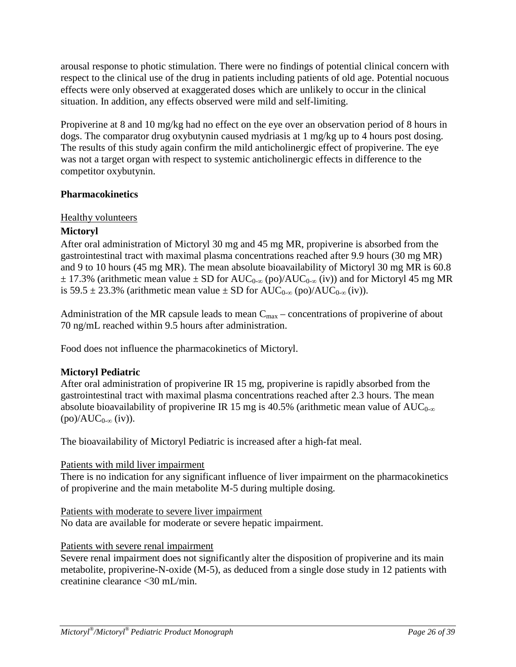arousal response to photic stimulation. There were no findings of potential clinical concern with respect to the clinical use of the drug in patients including patients of old age. Potential nocuous effects were only observed at exaggerated doses which are unlikely to occur in the clinical situation. In addition, any effects observed were mild and self-limiting.

Propiverine at 8 and 10 mg/kg had no effect on the eye over an observation period of 8 hours in dogs. The comparator drug oxybutynin caused mydriasis at 1 mg/kg up to 4 hours post dosing. The results of this study again confirm the mild anticholinergic effect of propiverine. The eye was not a target organ with respect to systemic anticholinergic effects in difference to the competitor oxybutynin.

# **Pharmacokinetics**

# Healthy volunteers

# **Mictoryl**

After oral administration of Mictoryl 30 mg and 45 mg MR, propiverine is absorbed from the gastrointestinal tract with maximal plasma concentrations reached after 9.9 hours (30 mg MR) and 9 to 10 hours (45 mg MR). The mean absolute bioavailability of Mictoryl 30 mg MR is 60.8  $\pm$  17.3% (arithmetic mean value  $\pm$  SD for AUC<sub>0-∞</sub> (po)/AUC<sub>0-∞</sub> (iv)) and for Mictoryl 45 mg MR is 59.5 ± 23.3% (arithmetic mean value ± SD for  $AUC_{0-\infty}$  (po)/ $AUC_{0-\infty}$  (iv)).

Administration of the MR capsule leads to mean  $C_{\text{max}}$  – concentrations of propiverine of about 70 ng/mL reached within 9.5 hours after administration.

Food does not influence the pharmacokinetics of Mictoryl.

# **Mictoryl Pediatric**

After oral administration of propiverine IR 15 mg, propiverine is rapidly absorbed from the gastrointestinal tract with maximal plasma concentrations reached after 2.3 hours. The mean absolute bioavailability of propiverine IR 15 mg is 40.5% (arithmetic mean value of AUC<sub>0-∞</sub>  $(po)/AUC_{0-\infty}$  (iv)).

The bioavailability of Mictoryl Pediatric is increased after a high-fat meal.

### Patients with mild liver impairment

There is no indication for any significant influence of liver impairment on the pharmacokinetics of propiverine and the main metabolite M-5 during multiple dosing.

Patients with moderate to severe liver impairment

No data are available for moderate or severe hepatic impairment.

# Patients with severe renal impairment

Severe renal impairment does not significantly alter the disposition of propiverine and its main metabolite, propiverine-N-oxide (M-5), as deduced from a single dose study in 12 patients with creatinine clearance <30 mL/min.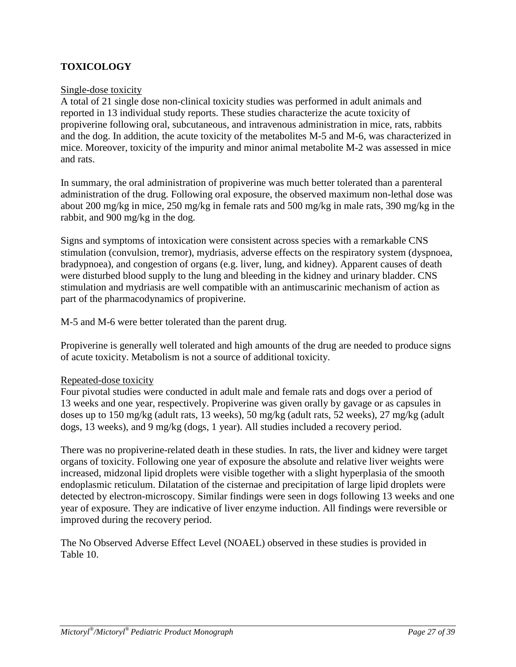# <span id="page-26-0"></span>**TOXICOLOGY**

### Single-dose toxicity

A total of 21 single dose non-clinical toxicity studies was performed in adult animals and reported in 13 individual study reports. These studies characterize the acute toxicity of propiverine following oral, subcutaneous, and intravenous administration in mice, rats, rabbits and the dog. In addition, the acute toxicity of the metabolites M-5 and M-6, was characterized in mice. Moreover, toxicity of the impurity and minor animal metabolite M-2 was assessed in mice and rats.

In summary, the oral administration of propiverine was much better tolerated than a parenteral administration of the drug. Following oral exposure, the observed maximum non-lethal dose was about 200 mg/kg in mice, 250 mg/kg in female rats and 500 mg/kg in male rats, 390 mg/kg in the rabbit, and 900 mg/kg in the dog.

Signs and symptoms of intoxication were consistent across species with a remarkable CNS stimulation (convulsion, tremor), mydriasis, adverse effects on the respiratory system (dyspnoea, bradypnoea), and congestion of organs (e.g. liver, lung, and kidney). Apparent causes of death were disturbed blood supply to the lung and bleeding in the kidney and urinary bladder. CNS stimulation and mydriasis are well compatible with an antimuscarinic mechanism of action as part of the pharmacodynamics of propiverine.

M-5 and M-6 were better tolerated than the parent drug.

Propiverine is generally well tolerated and high amounts of the drug are needed to produce signs of acute toxicity. Metabolism is not a source of additional toxicity.

### Repeated-dose toxicity

Four pivotal studies were conducted in adult male and female rats and dogs over a period of 13 weeks and one year, respectively. Propiverine was given orally by gavage or as capsules in doses up to 150 mg/kg (adult rats, 13 weeks), 50 mg/kg (adult rats, 52 weeks), 27 mg/kg (adult dogs, 13 weeks), and 9 mg/kg (dogs, 1 year). All studies included a recovery period.

There was no propiverine-related death in these studies. In rats, the liver and kidney were target organs of toxicity. Following one year of exposure the absolute and relative liver weights were increased, midzonal lipid droplets were visible together with a slight hyperplasia of the smooth endoplasmic reticulum. Dilatation of the cisternae and precipitation of large lipid droplets were detected by electron-microscopy. Similar findings were seen in dogs following 13 weeks and one year of exposure. They are indicative of liver enzyme induction. All findings were reversible or improved during the recovery period.

The No Observed Adverse Effect Level (NOAEL) observed in these studies is provided in Table 10.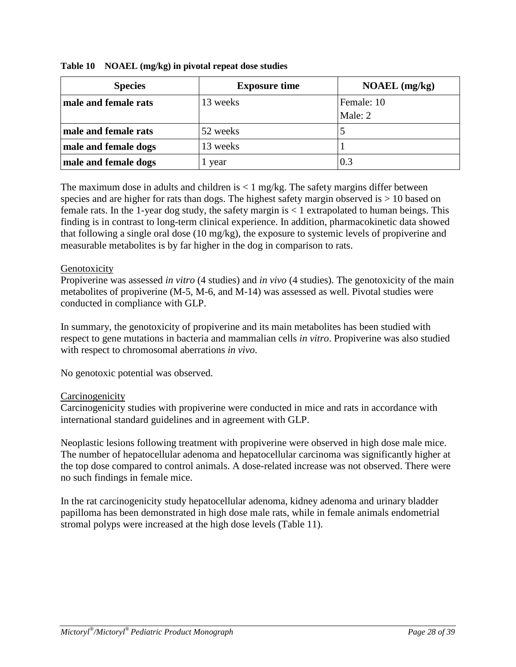| <b>Species</b>       | <b>Exposure time</b> | $NOAEL$ (mg/kg) |
|----------------------|----------------------|-----------------|
| male and female rats | 13 weeks             | Female: 10      |
|                      |                      | Male: 2         |
| male and female rats | 52 weeks             |                 |
| male and female dogs | 13 weeks             |                 |
| male and female dogs | year                 | 0.3             |

**Table 10 NOAEL (mg/kg) in pivotal repeat dose studies**

The maximum dose in adults and children is  $\lt 1$  mg/kg. The safety margins differ between species and are higher for rats than dogs. The highest safety margin observed is  $> 10$  based on female rats. In the 1-year dog study, the safety margin is  $\lt 1$  extrapolated to human beings. This finding is in contrast to long-term clinical experience. In addition, pharmacokinetic data showed that following a single oral dose (10 mg/kg), the exposure to systemic levels of propiverine and measurable metabolites is by far higher in the dog in comparison to rats.

### Genotoxicity

Propiverine was assessed *in vitro* (4 studies) and *in vivo* (4 studies). The genotoxicity of the main metabolites of propiverine (M-5, M-6, and M-14) was assessed as well. Pivotal studies were conducted in compliance with GLP.

In summary, the genotoxicity of propiverine and its main metabolites has been studied with respect to gene mutations in bacteria and mammalian cells *in vitro*. Propiverine was also studied with respect to chromosomal aberrations *in vivo*.

No genotoxic potential was observed.

### **Carcinogenicity**

Carcinogenicity studies with propiverine were conducted in mice and rats in accordance with international standard guidelines and in agreement with GLP.

Neoplastic lesions following treatment with propiverine were observed in high dose male mice. The number of hepatocellular adenoma and hepatocellular carcinoma was significantly higher at the top dose compared to control animals. A dose-related increase was not observed. There were no such findings in female mice.

In the rat carcinogenicity study hepatocellular adenoma, kidney adenoma and urinary bladder papilloma has been demonstrated in high dose male rats, while in female animals endometrial stromal polyps were increased at the high dose levels (Table 11).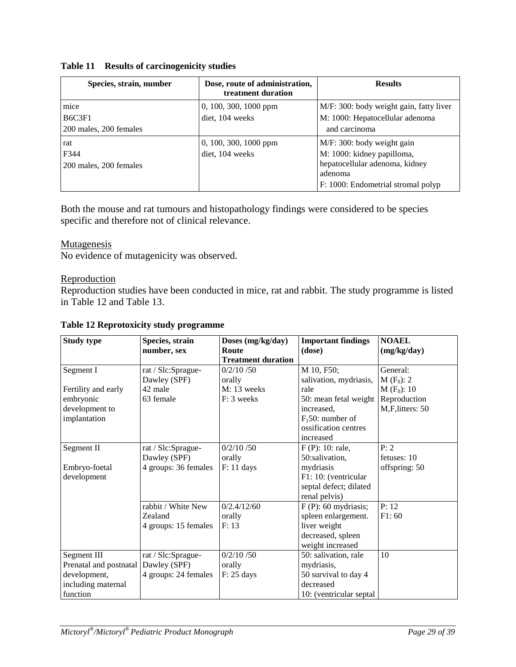### **Table 11 Results of carcinogenicity studies**

| Species, strain, number                                           | Dose, route of administration,<br>treatment duration | <b>Results</b>                                                                                                                              |
|-------------------------------------------------------------------|------------------------------------------------------|---------------------------------------------------------------------------------------------------------------------------------------------|
| mice<br>B <sub>6</sub> C <sub>3F1</sub><br>200 males, 200 females | 0, 100, 300, 1000 ppm<br>diet, 104 weeks             | M/F: 300: body weight gain, fatty liver<br>M: 1000: Hepatocellular adenoma<br>and carcinoma                                                 |
| rat<br>F344<br>200 males, 200 females                             | $0, 100, 300, 1000$ ppm<br>diet, 104 weeks           | M/F: 300: body weight gain<br>M: 1000: kidney papilloma,<br>hepatocellular adenoma, kidney<br>adenoma<br>F: 1000: Endometrial stromal polyp |

Both the mouse and rat tumours and histopathology findings were considered to be species specific and therefore not of clinical relevance.

### **Mutagenesis**

No evidence of mutagenicity was observed.

# Reproduction

Reproduction studies have been conducted in mice, rat and rabbit. The study programme is listed in Table 12 and Table 13.

| <b>Study type</b>      | Species, strain      | Doses (mg/kg/day)         | <b>Important findings</b> | <b>NOAEL</b>    |
|------------------------|----------------------|---------------------------|---------------------------|-----------------|
|                        | number, sex          | Route                     | (dose)                    | (mg/kg/day)     |
|                        |                      | <b>Treatment duration</b> |                           |                 |
| Segment I              | rat / Slc:Sprague-   | 0/2/10/50                 | M 10, F50;                | General:        |
|                        | Dawley (SPF)         | orally                    | salivation, mydriasis,    | $M(F_0)$ : 2    |
| Fertility and early    | 42 male              | $M: 13$ weeks             | rale                      | $M(F_0)$ : 10   |
| embryonic              | 63 female            | $F: 3$ weeks              | 50: mean fetal weight     | Reproduction    |
| development to         |                      |                           | increased,                | M,F,litters: 50 |
| implantation           |                      |                           | $F_1$ 50: number of       |                 |
|                        |                      |                           | ossification centres      |                 |
|                        |                      |                           | increased                 |                 |
| Segment II             | rat / Slc:Sprague-   | 0/2/10/50                 | $F(P)$ : 10: rale,        | P: 2            |
|                        | Dawley (SPF)         | orally                    | 50:salivation,            | fetuses: 10     |
| Embryo-foetal          | 4 groups: 36 females | $F: 11 \text{ days}$      | mydriasis                 | offspring: 50   |
| development            |                      |                           | F1: 10: (ventricular      |                 |
|                        |                      |                           | septal defect; dilated    |                 |
|                        |                      |                           | renal pelvis)             |                 |
|                        | rabbit / White New   | 0/2.4/12/60               | $F(P)$ : 60 mydriasis;    | P: 12           |
|                        | Zealand              | orally                    | spleen enlargement.       | F1:60           |
|                        | 4 groups: 15 females | F: 13                     | liver weight              |                 |
|                        |                      |                           | decreased, spleen         |                 |
|                        |                      |                           | weight increased          |                 |
| Segment III            | rat / Slc:Sprague-   | 0/2/10/50                 | 50: salivation, rale      | 10              |
| Prenatal and postnatal | Dawley (SPF)         | orally                    | mydriasis,                |                 |
| development,           | 4 groups: 24 females | $F: 25 \text{ days}$      | 50 survival to day 4      |                 |
| including maternal     |                      |                           | decreased                 |                 |
| function               |                      |                           | 10: (ventricular septal   |                 |

### **Table 12 Reprotoxicity study programme**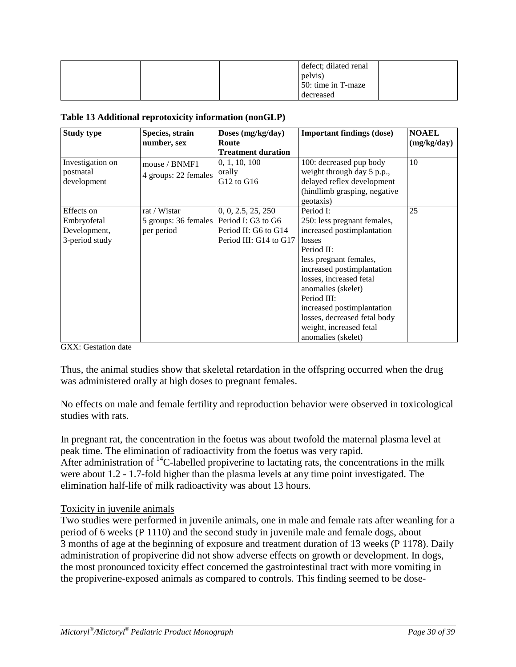|  | defect; dilated renal |  |
|--|-----------------------|--|
|  | pelvis)               |  |
|  | 50: time in T-maze    |  |
|  | decreased             |  |

#### **Table 13 Additional reprotoxicity information (nonGLP)**

| <b>Study type</b>                                           | Species, strain<br>number, sex                                          | Doses (mg/kg/day)<br>Route<br><b>Treatment duration</b>              | <b>Important findings (dose)</b>                                                                                                                                                                                                                                                                                                      | <b>NOAEL</b><br>(mg/kg/day) |
|-------------------------------------------------------------|-------------------------------------------------------------------------|----------------------------------------------------------------------|---------------------------------------------------------------------------------------------------------------------------------------------------------------------------------------------------------------------------------------------------------------------------------------------------------------------------------------|-----------------------------|
| Investigation on<br>postnatal<br>development                | mouse / BNMF1<br>4 groups: 22 females                                   | 0, 1, 10, 100<br>orally<br>G12 to G16                                | 100: decreased pup body<br>weight through day 5 p.p.,<br>delayed reflex development<br>(hindlimb grasping, negative<br>geotaxis)                                                                                                                                                                                                      | 10                          |
| Effects on<br>Embryofetal<br>Development,<br>3-period study | rat / Wistar<br>5 groups: 36 females   Period I: G3 to G6<br>per period | 0, 0, 2.5, 25, 250<br>Period II: G6 to G14<br>Period III: G14 to G17 | Period I:<br>250: less pregnant females,<br>increased postimplantation<br>losses<br>Period II:<br>less pregnant females,<br>increased postimplantation<br>losses, increased fetal<br>anomalies (skelet)<br>Period III:<br>increased postimplantation<br>losses, decreased fetal body<br>weight, increased fetal<br>anomalies (skelet) | 25                          |

GXX: Gestation date

Thus, the animal studies show that skeletal retardation in the offspring occurred when the drug was administered orally at high doses to pregnant females.

No effects on male and female fertility and reproduction behavior were observed in toxicological studies with rats.

In pregnant rat, the concentration in the foetus was about twofold the maternal plasma level at peak time. The elimination of radioactivity from the foetus was very rapid. After administration of  $^{14}$ C-labelled propiverine to lactating rats, the concentrations in the milk were about 1.2 - 1.7-fold higher than the plasma levels at any time point investigated. The elimination half-life of milk radioactivity was about 13 hours.

### Toxicity in juvenile animals

Two studies were performed in juvenile animals, one in male and female rats after weanling for a period of 6 weeks (P 1110) and the second study in juvenile male and female dogs, about 3 months of age at the beginning of exposure and treatment duration of 13 weeks (P 1178). Daily administration of propiverine did not show adverse effects on growth or development. In dogs, the most pronounced toxicity effect concerned the gastrointestinal tract with more vomiting in the propiverine-exposed animals as compared to controls. This finding seemed to be dose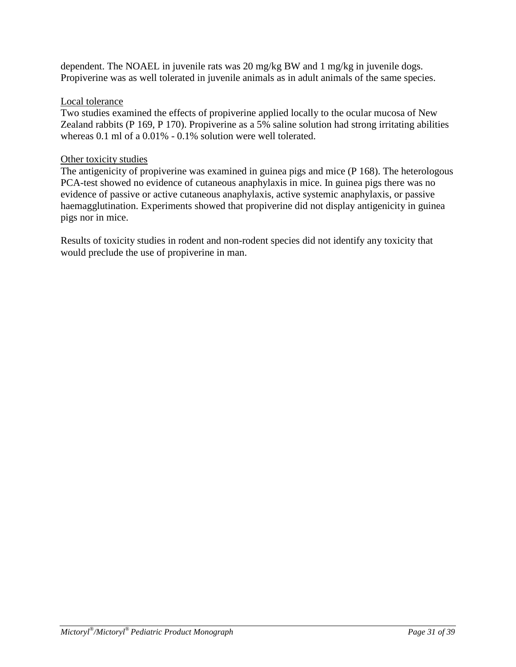dependent. The NOAEL in juvenile rats was 20 mg/kg BW and 1 mg/kg in juvenile dogs. Propiverine was as well tolerated in juvenile animals as in adult animals of the same species.

### Local tolerance

Two studies examined the effects of propiverine applied locally to the ocular mucosa of New Zealand rabbits (P 169, P 170). Propiverine as a 5% saline solution had strong irritating abilities whereas 0.1 ml of a 0.01% - 0.1% solution were well tolerated.

### Other toxicity studies

The antigenicity of propiverine was examined in guinea pigs and mice (P 168). The heterologous PCA-test showed no evidence of cutaneous anaphylaxis in mice. In guinea pigs there was no evidence of passive or active cutaneous anaphylaxis, active systemic anaphylaxis, or passive haemagglutination. Experiments showed that propiverine did not display antigenicity in guinea pigs nor in mice.

Results of toxicity studies in rodent and non-rodent species did not identify any toxicity that would preclude the use of propiverine in man.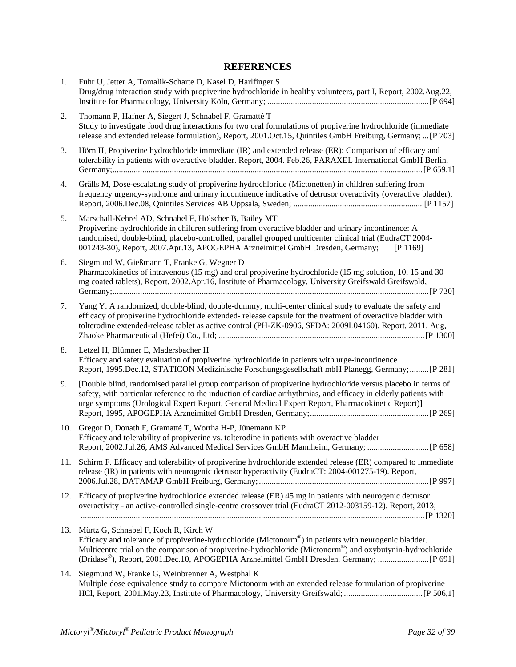# **REFERENCES**

<span id="page-31-0"></span>

| 1.  | Fuhr U, Jetter A, Tomalik-Scharte D, Kasel D, Harlfinger S<br>Drug/drug interaction study with propiverine hydrochloride in healthy volunteers, part I, Report, 2002.Aug.22,                                                                                                                                                                                        |
|-----|---------------------------------------------------------------------------------------------------------------------------------------------------------------------------------------------------------------------------------------------------------------------------------------------------------------------------------------------------------------------|
| 2.  | Thomann P, Hafner A, Siegert J, Schnabel F, Gramatté T<br>Study to investigate food drug interactions for two oral formulations of propiverine hydrochloride (immediate<br>release and extended release formulation), Report, 2001.Oct.15, Quintiles GmbH Freiburg, Germany;  [P 703]                                                                               |
| 3.  | Hörn H, Propiverine hydrochloride immediate (IR) and extended release (ER): Comparison of efficacy and<br>tolerability in patients with overactive bladder. Report, 2004. Feb.26, PARAXEL International GmbH Berlin,                                                                                                                                                |
| 4.  | Grälls M, Dose-escalating study of propiverine hydrochloride (Mictonetten) in children suffering from<br>frequency urgency-syndrome and urinary incontinence indicative of detrusor overactivity (overactive bladder),                                                                                                                                              |
| 5.  | Marschall-Kehrel AD, Schnabel F, Hölscher B, Bailey MT<br>Propiverine hydrochloride in children suffering from overactive bladder and urinary incontinence: A<br>randomised, double-blind, placebo-controlled, parallel grouped multicenter clinical trial (EudraCT 2004-<br>001243-30), Report, 2007.Apr.13, APOGEPHA Arzneimittel GmbH Dresden, Germany; [P 1169] |
| 6.  | Siegmund W, Gießmann T, Franke G, Wegner D<br>Pharmacokinetics of intravenous (15 mg) and oral propiverine hydrochloride (15 mg solution, 10, 15 and 30<br>mg coated tablets), Report, 2002.Apr.16, Institute of Pharmacology, University Greifswald Greifswald,                                                                                                    |
| 7.  | Yang Y. A randomized, double-blind, double-dummy, multi-center clinical study to evaluate the safety and<br>efficacy of propiverine hydrochloride extended- release capsule for the treatment of overactive bladder with<br>tolterodine extended-release tablet as active control (PH-ZK-0906, SFDA: 2009L04160), Report, 2011. Aug,                                |
| 8.  | Letzel H, Blümner E, Madersbacher H<br>Efficacy and safety evaluation of propiverine hydrochloride in patients with urge-incontinence<br>Report, 1995.Dec.12, STATICON Medizinische Forschungsgesellschaft mbH Planegg, Germany;  [P 281]                                                                                                                           |
| 9.  | [Double blind, randomised parallel group comparison of propiverine hydrochloride versus placebo in terms of<br>safety, with particular reference to the induction of cardiac arrhythmias, and efficacy in elderly patients with<br>urge symptoms (Urological Expert Report, General Medical Expert Report, Pharmacokinetic Report)]                                 |
| 10. | Gregor D, Donath F, Gramatté T, Wortha H-P, Jünemann KP<br>Efficacy and tolerability of propiverine vs. tolterodine in patients with overactive bladder                                                                                                                                                                                                             |
| 11. | Schirm F. Efficacy and tolerability of propiverine hydrochloride extended release (ER) compared to immediate<br>release (IR) in patients with neurogenic detrusor hyperactivity (EudraCT: 2004-001275-19). Report,                                                                                                                                                  |
| 12. | Efficacy of propiverine hydrochloride extended release (ER) 45 mg in patients with neurogenic detrusor<br>overactivity - an active-controlled single-centre crossover trial (EudraCT 2012-003159-12). Report, 2013;                                                                                                                                                 |
| 13. | Mürtz G, Schnabel F, Koch R, Kirch W<br>Efficacy and tolerance of propiverine-hydrochloride (Mictonorm®) in patients with neurogenic bladder.<br>Multicentre trial on the comparison of propiverine-hydrochloride (Mictonorm®) and oxybutynin-hydrochloride<br>(Dridase®), Report, 2001.Dec.10, APOGEPHA Arzneimittel GmbH Dresden, Germany;  [P 691]               |
| 14. | Siegmund W, Franke G, Weinbrenner A, Westphal K<br>Multiple dose equivalence study to compare Mictonorm with an extended release formulation of propiverine                                                                                                                                                                                                         |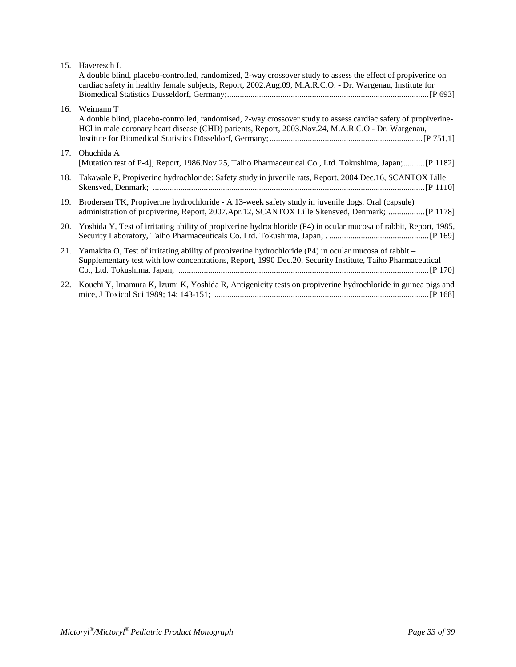| 15. | Haveresch L<br>A double blind, placebo-controlled, randomized, 2-way crossover study to assess the effect of propiverine on<br>cardiac safety in healthy female subjects, Report, 2002.Aug.09, M.A.R.C.O. - Dr. Wargenau, Institute for |
|-----|-----------------------------------------------------------------------------------------------------------------------------------------------------------------------------------------------------------------------------------------|
| 16. | Weimann T<br>A double blind, placebo-controlled, randomised, 2-way crossover study to assess cardiac safety of propiverine-<br>HCl in male coronary heart disease (CHD) patients, Report, 2003. Nov.24, M.A.R.C.O - Dr. Wargenau,       |
| 17. | Ohuchida A<br>[Mutation test of P-4], Report, 1986.Nov.25, Taiho Pharmaceutical Co., Ltd. Tokushima, Japan; [P 1182]                                                                                                                    |
| 18. | Takawale P, Propiverine hydrochloride: Safety study in juvenile rats, Report, 2004.Dec.16, SCANTOX Lille                                                                                                                                |
| 19. | Brodersen TK, Propiverine hydrochloride - A 13-week safety study in juvenile dogs. Oral (capsule)<br>administration of propiverine, Report, 2007.Apr.12, SCANTOX Lille Skensved, Denmark;  [P 1178]                                     |
| 20. | Yoshida Y, Test of irritating ability of propiverine hydrochloride (P4) in ocular mucosa of rabbit, Report, 1985,                                                                                                                       |
| 21. | Yamakita O, Test of irritating ability of propiverine hydrochloride (P4) in ocular mucosa of rabbit –<br>Supplementary test with low concentrations, Report, 1990 Dec.20, Security Institute, Taiho Pharmaceutical                      |
| 22. | Kouchi Y, Imamura K, Izumi K, Yoshida R, Antigenicity tests on propiverine hydrochloride in guinea pigs and                                                                                                                             |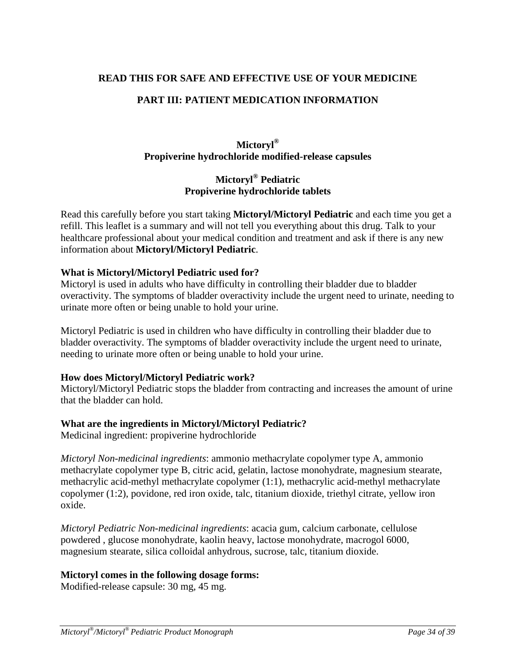### <span id="page-33-0"></span>**READ THIS FOR SAFE AND EFFECTIVE USE OF YOUR MEDICINE**

### **PART III: PATIENT MEDICATION INFORMATION**

# **Mictoryl® Propiverine hydrochloride modified-release capsules**

# **Mictoryl® Pediatric Propiverine hydrochloride tablets**

Read this carefully before you start taking **Mictoryl/Mictoryl Pediatric** and each time you get a refill. This leaflet is a summary and will not tell you everything about this drug. Talk to your healthcare professional about your medical condition and treatment and ask if there is any new information about **Mictoryl/Mictoryl Pediatric**.

### **What is Mictoryl/Mictoryl Pediatric used for?**

Mictoryl is used in adults who have difficulty in controlling their bladder due to bladder overactivity. The symptoms of bladder overactivity include the urgent need to urinate, needing to urinate more often or being unable to hold your urine.

Mictoryl Pediatric is used in children who have difficulty in controlling their bladder due to bladder overactivity. The symptoms of bladder overactivity include the urgent need to urinate, needing to urinate more often or being unable to hold your urine.

### **How does Mictoryl/Mictoryl Pediatric work?**

Mictoryl/Mictoryl Pediatric stops the bladder from contracting and increases the amount of urine that the bladder can hold.

### **What are the ingredients in Mictoryl/Mictoryl Pediatric?**

Medicinal ingredient: propiverine hydrochloride

*Mictoryl Non-medicinal ingredients*: ammonio methacrylate copolymer type A, ammonio methacrylate copolymer type B, citric acid, gelatin, lactose monohydrate, magnesium stearate, methacrylic acid-methyl methacrylate copolymer (1:1), methacrylic acid-methyl methacrylate copolymer (1:2), povidone, red iron oxide, talc, titanium dioxide, triethyl citrate, yellow iron oxide.

*Mictoryl Pediatric Non-medicinal ingredients*: acacia gum, calcium carbonate, cellulose powdered , glucose monohydrate, kaolin heavy, lactose monohydrate, macrogol 6000, magnesium stearate, silica colloidal anhydrous, sucrose, talc, titanium dioxide.

### **Mictoryl comes in the following dosage forms:**

Modified-release capsule: 30 mg, 45 mg.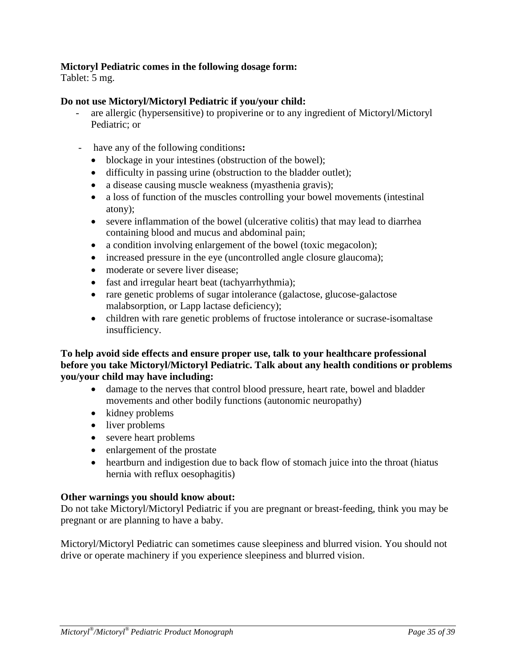### **Mictoryl Pediatric comes in the following dosage form:**

Tablet: 5 mg.

### **Do not use Mictoryl/Mictoryl Pediatric if you/your child:**

- are allergic (hypersensitive) to propiverine or to any ingredient of Mictoryl/Mictoryl Pediatric; or
- have any of the following conditions**:**
	- blockage in your intestines (obstruction of the bowel);
	- difficulty in passing urine (obstruction to the bladder outlet);
	- a disease causing muscle weakness (myasthenia gravis);
	- a loss of function of the muscles controlling your bowel movements (intestinal atony);
	- severe inflammation of the bowel (ulcerative colitis) that may lead to diarrhea containing blood and mucus and abdominal pain;
	- a condition involving enlargement of the bowel (toxic megacolon);
	- increased pressure in the eye (uncontrolled angle closure glaucoma);
	- moderate or severe liver disease;
	- fast and irregular heart beat (tachyarrhythmia);
	- rare genetic problems of sugar intolerance (galactose, glucose-galactose) malabsorption, or Lapp lactase deficiency);
	- children with rare genetic problems of fructose intolerance or sucrase-isomaltase insufficiency.

### **To help avoid side effects and ensure proper use, talk to your healthcare professional before you take Mictoryl/Mictoryl Pediatric. Talk about any health conditions or problems you/your child may have including:**

- damage to the nerves that control blood pressure, heart rate, bowel and bladder movements and other bodily functions (autonomic neuropathy)
- kidney problems
- liver problems
- severe heart problems
- enlargement of the prostate
- heartburn and indigestion due to back flow of stomach juice into the throat (hiatus hernia with reflux oesophagitis)

### **Other warnings you should know about:**

Do not take Mictoryl/Mictoryl Pediatric if you are pregnant or breast-feeding, think you may be pregnant or are planning to have a baby.

Mictoryl/Mictoryl Pediatric can sometimes cause sleepiness and blurred vision. You should not drive or operate machinery if you experience sleepiness and blurred vision.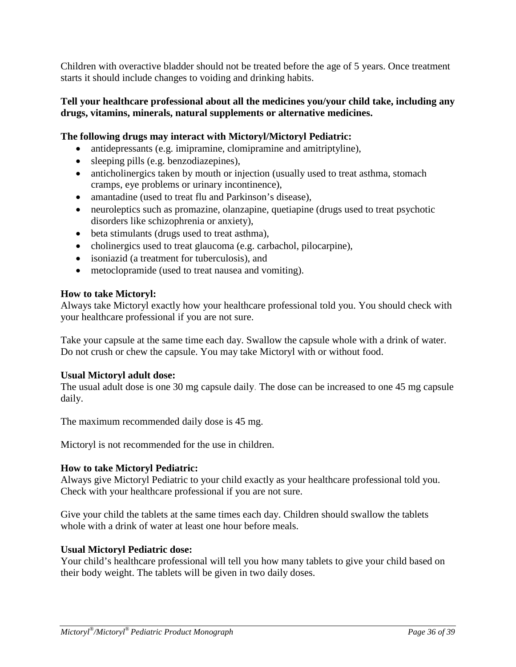Children with overactive bladder should not be treated before the age of 5 years. Once treatment starts it should include changes to voiding and drinking habits.

### **Tell your healthcare professional about all the medicines you/your child take, including any drugs, vitamins, minerals, natural supplements or alternative medicines.**

# **The following drugs may interact with Mictoryl/Mictoryl Pediatric:**

- antidepressants (e.g. imipramine, clomipramine and amitriptyline),
- sleeping pills (e.g. benzodiazepines),
- anticholinergics taken by mouth or injection (usually used to treat asthma, stomach cramps, eye problems or urinary incontinence),
- amantadine (used to treat flu and Parkinson's disease),
- neuroleptics such as promazine, olanzapine, quetiapine (drugs used to treat psychotic disorders like schizophrenia or anxiety),
- beta stimulants (drugs used to treat asthma),
- cholinergics used to treat glaucoma (e.g. carbachol, pilocarpine),
- isoniazid (a treatment for tuberculosis), and
- metoclopramide (used to treat nausea and vomiting).

### **How to take Mictoryl:**

Always take Mictoryl exactly how your healthcare professional told you. You should check with your healthcare professional if you are not sure.

Take your capsule at the same time each day. Swallow the capsule whole with a drink of water. Do not crush or chew the capsule. You may take Mictoryl with or without food.

### **Usual Mictoryl adult dose:**

The usual adult dose is one 30 mg capsule daily. The dose can be increased to one 45 mg capsule daily.

The maximum recommended daily dose is 45 mg.

Mictoryl is not recommended for the use in children.

### **How to take Mictoryl Pediatric:**

Always give Mictoryl Pediatric to your child exactly as your healthcare professional told you. Check with your healthcare professional if you are not sure.

Give your child the tablets at the same times each day. Children should swallow the tablets whole with a drink of water at least one hour before meals.

### **Usual Mictoryl Pediatric dose:**

Your child's healthcare professional will tell you how many tablets to give your child based on their body weight. The tablets will be given in two daily doses.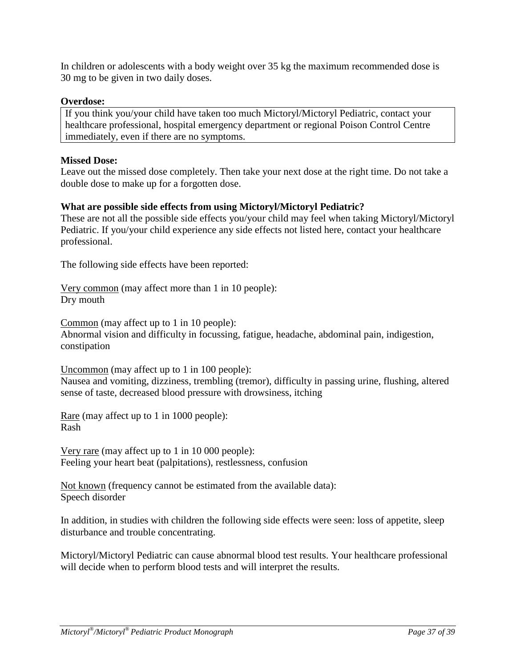In children or adolescents with a body weight over 35 kg the maximum recommended dose is 30 mg to be given in two daily doses.

### **Overdose:**

If you think you/your child have taken too much Mictoryl/Mictoryl Pediatric, contact your healthcare professional, hospital emergency department or regional Poison Control Centre immediately, even if there are no symptoms.

### **Missed Dose:**

Leave out the missed dose completely. Then take your next dose at the right time. Do not take a double dose to make up for a forgotten dose.

### **What are possible side effects from using Mictoryl/Mictoryl Pediatric?**

These are not all the possible side effects you/your child may feel when taking Mictoryl/Mictoryl Pediatric. If you/your child experience any side effects not listed here, contact your healthcare professional.

The following side effects have been reported:

Very common (may affect more than 1 in 10 people): Dry mouth

Common (may affect up to 1 in 10 people):

Abnormal vision and difficulty in focussing, fatigue, headache, abdominal pain, indigestion, constipation

Uncommon (may affect up to 1 in 100 people): Nausea and vomiting, dizziness, trembling (tremor), difficulty in passing urine, flushing, altered sense of taste, decreased blood pressure with drowsiness, itching

Rare (may affect up to 1 in 1000 people): Rash

Very rare (may affect up to 1 in 10 000 people): Feeling your heart beat (palpitations), restlessness, confusion

Not known (frequency cannot be estimated from the available data): Speech disorder

In addition, in studies with children the following side effects were seen: loss of appetite, sleep disturbance and trouble concentrating.

Mictoryl/Mictoryl Pediatric can cause abnormal blood test results. Your healthcare professional will decide when to perform blood tests and will interpret the results.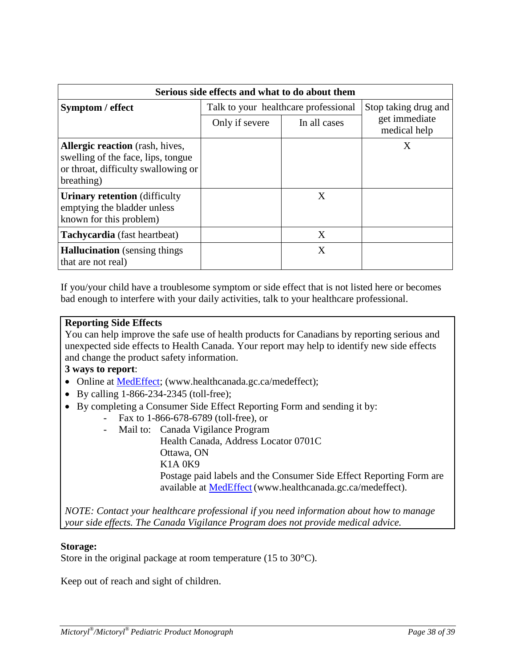| Serious side effects and what to do about them                                                                                    |                                      |              |                               |
|-----------------------------------------------------------------------------------------------------------------------------------|--------------------------------------|--------------|-------------------------------|
| Symptom / effect                                                                                                                  | Talk to your healthcare professional |              | Stop taking drug and          |
|                                                                                                                                   | Only if severe                       | In all cases | get immediate<br>medical help |
| <b>Allergic reaction</b> (rash, hives,<br>swelling of the face, lips, tongue<br>or throat, difficulty swallowing or<br>breathing) |                                      |              | X                             |
| <b>Urinary retention</b> (difficulty<br>emptying the bladder unless<br>known for this problem)                                    |                                      | X            |                               |
| Tachycardia (fast heartbeat)                                                                                                      |                                      | X            |                               |
| <b>Hallucination</b> (sensing things)<br>that are not real)                                                                       |                                      | X            |                               |

If you/your child have a troublesome symptom or side effect that is not listed here or becomes bad enough to interfere with your daily activities, talk to your healthcare professional.

### **Reporting Side Effects**

You can help improve the safe use of health products for Canadians by reporting serious and unexpected side effects to Health Canada. Your report may help to identify new side effects and change the product safety information.

### **3 ways to report**:

- Online at [MedEffect;](http://hc-sc.gc.ca/dhp-mps/medeff/index-eng.php) (www.healthcanada.gc.ca/medeffect);
- By calling 1-866-234-2345 (toll-free);
- By completing a Consumer Side Effect Reporting Form and sending it by:
	- Fax to 1-866-678-6789 (toll-free), or
	- Mail to: Canada Vigilance Program
		- Health Canada, Address Locator 0701C Ottawa, ON K1A 0K9 Postage paid labels and the Consumer Side Effect Reporting Form are available at [MedEffect](http://hc-sc.gc.ca/dhp-mps/medeff/index-eng.php) (www.healthcanada.gc.ca/medeffect).

*NOTE: Contact your healthcare professional if you need information about how to manage your side effects. The Canada Vigilance Program does not provide medical advice.*

### **Storage:**

Store in the original package at room temperature (15 to 30°C).

Keep out of reach and sight of children.